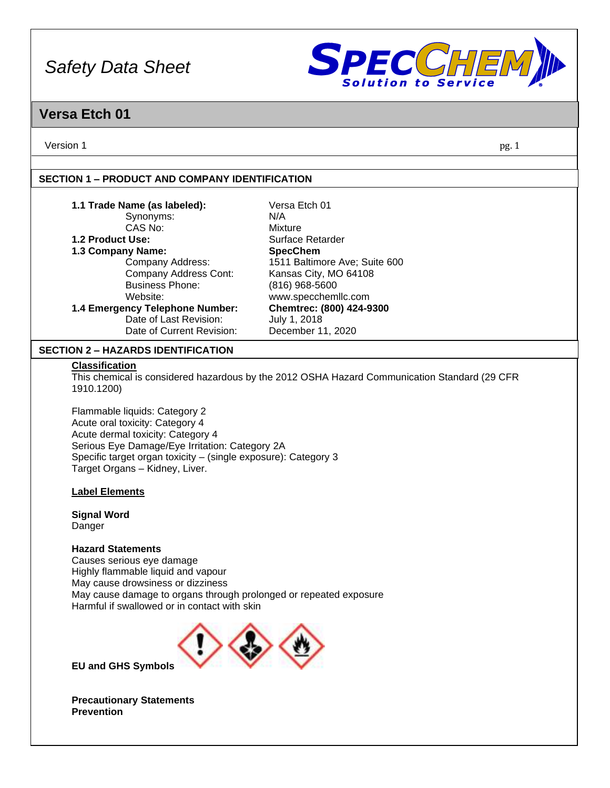

### **Versa Etch 01**

version 1 pg. 1 pg. 1 pg. 1 pg. 1 pg. 1 pg. 1 pg. 1 pg. 1 pg. 1 pg. 1 pg. 1 pg. 1 pg. 1

#### **SECTION 1 – PRODUCT AND COMPANY IDENTIFICATION**

| 1.1 Trade Name (as labeled):    | Versa Etch 01                 |
|---------------------------------|-------------------------------|
| Synonyms:                       | N/A                           |
| CAS No:                         | Mixture                       |
| 1.2 Product Use:                | Surface Retarder              |
| 1.3 Company Name:               | <b>SpecChem</b>               |
| Company Address:                | 1511 Baltimore Ave; Suite 600 |
| Company Address Cont:           | Kansas City, MO 64108         |
| <b>Business Phone:</b>          | (816) 968-5600                |
| Website:                        | www.specchemllc.com           |
| 1.4 Emergency Telephone Number: | Chemtrec: (800) 424-9300      |
| Date of Last Revision:          | July 1, 2018                  |
| Date of Current Revision:       | December 11, 2020             |

#### **SECTION 2 – HAZARDS IDENTIFICATION**

#### **Classification**

This chemical is considered hazardous by the 2012 OSHA Hazard Communication Standard (29 CFR 1910.1200)

Flammable liquids: Category 2 Acute oral toxicity: Category 4 Acute dermal toxicity: Category 4 Serious Eye Damage/Eye Irritation: Category 2A Specific target organ toxicity – (single exposure): Category 3 Target Organs – Kidney, Liver.

#### **Label Elements**

**Signal Word** Danger

#### **Hazard Statements**

Causes serious eye damage Highly flammable liquid and vapour May cause drowsiness or dizziness May cause damage to organs through prolonged or repeated exposure Harmful if swallowed or in contact with skin



**EU and GHS Symbols**

**Precautionary Statements Prevention**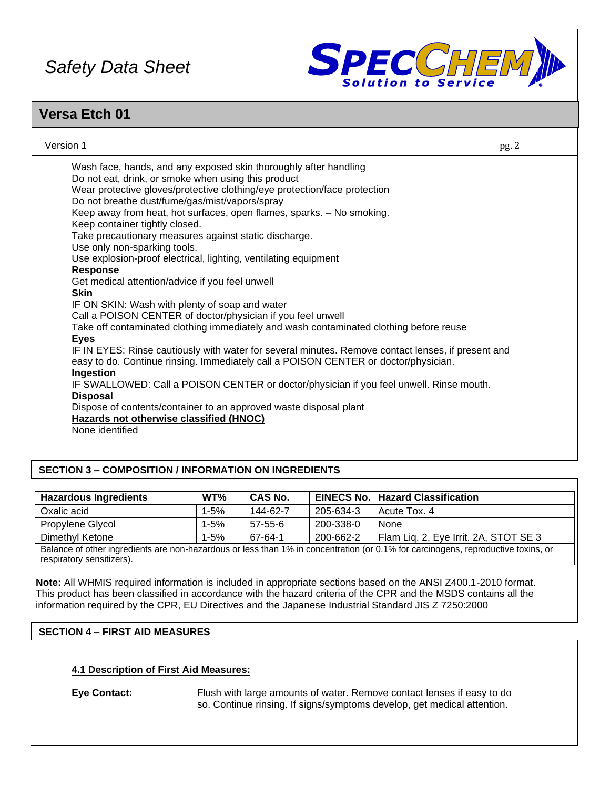

### **Versa Etch 01**

| Wash face, hands, and any exposed skin thoroughly after handling<br>Do not eat, drink, or smoke when using this product<br>Wear protective gloves/protective clothing/eye protection/face protection<br>Do not breathe dust/fume/gas/mist/vapors/spray<br>Keep away from heat, hot surfaces, open flames, sparks. - No smoking.<br>Keep container tightly closed.<br>Take precautionary measures against static discharge.<br>Use only non-sparking tools.<br>Use explosion-proof electrical, lighting, ventilating equipment<br><b>Response</b><br>Get medical attention/advice if you feel unwell<br><b>Skin</b><br>IF ON SKIN: Wash with plenty of soap and water<br>Call a POISON CENTER of doctor/physician if you feel unwell<br>Take off contaminated clothing immediately and wash contaminated clothing before reuse<br><b>Eyes</b><br>IF IN EYES: Rinse cautiously with water for several minutes. Remove contact lenses, if present and<br>easy to do. Continue rinsing. Immediately call a POISON CENTER or doctor/physician.<br>Ingestion<br>IF SWALLOWED: Call a POISON CENTER or doctor/physician if you feel unwell. Rinse mouth.<br><b>Disposal</b><br>Dispose of contents/container to an approved waste disposal plant<br><b>Hazards not otherwise classified (HNOC)</b> |  |
|---------------------------------------------------------------------------------------------------------------------------------------------------------------------------------------------------------------------------------------------------------------------------------------------------------------------------------------------------------------------------------------------------------------------------------------------------------------------------------------------------------------------------------------------------------------------------------------------------------------------------------------------------------------------------------------------------------------------------------------------------------------------------------------------------------------------------------------------------------------------------------------------------------------------------------------------------------------------------------------------------------------------------------------------------------------------------------------------------------------------------------------------------------------------------------------------------------------------------------------------------------------------------------------------|--|
| None identified                                                                                                                                                                                                                                                                                                                                                                                                                                                                                                                                                                                                                                                                                                                                                                                                                                                                                                                                                                                                                                                                                                                                                                                                                                                                             |  |

#### **SECTION 3 – COMPOSITION / INFORMATION ON INGREDIENTS**

| <b>Hazardous Ingredients</b>                                                                                                      | WT%      | <b>CAS No.</b> |           | <b>EINECS No.   Hazard Classification</b> |  |  |
|-----------------------------------------------------------------------------------------------------------------------------------|----------|----------------|-----------|-------------------------------------------|--|--|
| Oxalic acid                                                                                                                       | $1 - 5%$ | 144-62-7       | 205-634-3 | Acute Tox, 4                              |  |  |
| Propylene Glycol                                                                                                                  | $1 - 5%$ | 57-55-6        | 200-338-0 | None                                      |  |  |
| $1 - 5%$<br>Dimethyl Ketone<br>67-64-1<br>200-662-2<br>Flam Liq. 2, Eye Irrit. 2A, STOT SE 3                                      |          |                |           |                                           |  |  |
| Balance of other ingredients are non-hazardous or less than 1% in concentration (or 0.1% for carcinogens, reproductive toxins, or |          |                |           |                                           |  |  |

respiratory sensitizers). **Note:** All WHMIS required information is included in appropriate sections based on the ANSI Z400.1-2010 format. This product has been classified in accordance with the hazard criteria of the CPR and the MSDS contains all the

### information required by the CPR, EU Directives and the Japanese Industrial Standard JIS Z 7250:2000

#### **SECTION 4 – FIRST AID MEASURES**

#### **4.1 Description of First Aid Measures:**

**Eye Contact:** Flush with large amounts of water. Remove contact lenses if easy to do so. Continue rinsing. If signs/symptoms develop, get medical attention.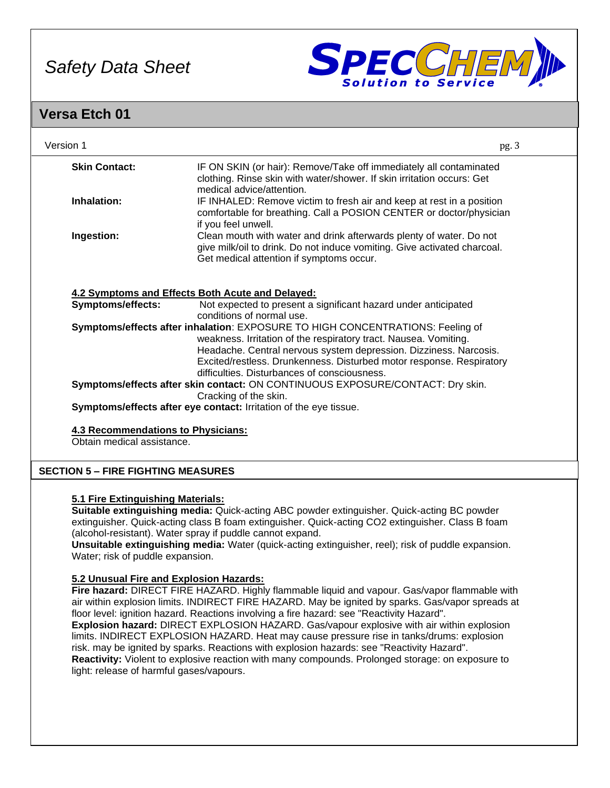

### **Versa Etch 01**

| <b>Skin Contact:</b>               | IF ON SKIN (or hair): Remove/Take off immediately all contaminated                                                 |
|------------------------------------|--------------------------------------------------------------------------------------------------------------------|
|                                    | clothing. Rinse skin with water/shower. If skin irritation occurs: Get                                             |
|                                    | medical advice/attention.                                                                                          |
| Inhalation:                        | IF INHALED: Remove victim to fresh air and keep at rest in a position                                              |
|                                    | comfortable for breathing. Call a POSION CENTER or doctor/physician<br>if you feel unwell.                         |
| Ingestion:                         | Clean mouth with water and drink afterwards plenty of water. Do not                                                |
|                                    | give milk/oil to drink. Do not induce vomiting. Give activated charcoal.                                           |
|                                    | Get medical attention if symptoms occur.                                                                           |
|                                    | 4.2 Symptoms and Effects Both Acute and Delayed:<br>Not expected to present a significant hazard under anticipated |
|                                    | conditions of normal use.                                                                                          |
|                                    | Symptoms/effects after inhalation: EXPOSURE TO HIGH CONCENTRATIONS: Feeling of                                     |
|                                    | weakness. Irritation of the respiratory tract. Nausea. Vomiting.                                                   |
| Symptoms/effects:                  | Headache. Central nervous system depression. Dizziness. Narcosis.                                                  |
|                                    | Excited/restless. Drunkenness. Disturbed motor response. Respiratory                                               |
|                                    | difficulties. Disturbances of consciousness.                                                                       |
|                                    | Symptoms/effects after skin contact: ON CONTINUOUS EXPOSURE/CONTACT: Dry skin.                                     |
|                                    | Cracking of the skin.                                                                                              |
|                                    | Symptoms/effects after eye contact: Irritation of the eye tissue.                                                  |
| 4.3 Recommendations to Physicians: |                                                                                                                    |

## **SECTION 5 – FIRE FIGHTING MEASURES**

#### **5.1 Fire Extinguishing Materials:**

**Suitable extinguishing media:** Quick-acting ABC powder extinguisher. Quick-acting BC powder extinguisher. Quick-acting class B foam extinguisher. Quick-acting CO2 extinguisher. Class B foam (alcohol-resistant). Water spray if puddle cannot expand.

**Unsuitable extinguishing media:** Water (quick-acting extinguisher, reel); risk of puddle expansion. Water; risk of puddle expansion.

#### **5.2 Unusual Fire and Explosion Hazards:**

**Fire hazard:** DIRECT FIRE HAZARD. Highly flammable liquid and vapour. Gas/vapor flammable with air within explosion limits. INDIRECT FIRE HAZARD. May be ignited by sparks. Gas/vapor spreads at floor level: ignition hazard. Reactions involving a fire hazard: see "Reactivity Hazard". **Explosion hazard:** DIRECT EXPLOSION HAZARD. Gas/vapour explosive with air within explosion limits. INDIRECT EXPLOSION HAZARD. Heat may cause pressure rise in tanks/drums: explosion risk. may be ignited by sparks. Reactions with explosion hazards: see "Reactivity Hazard". **Reactivity:** Violent to explosive reaction with many compounds. Prolonged storage: on exposure to light: release of harmful gases/vapours.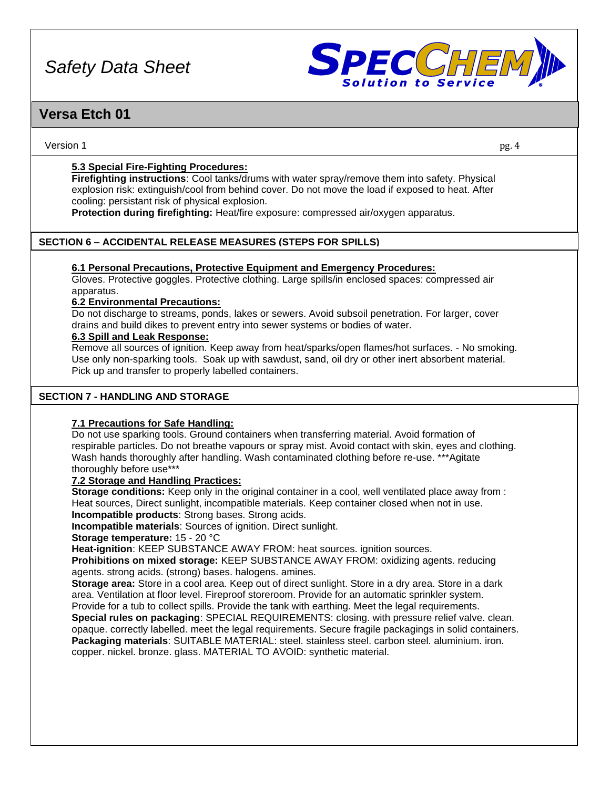

### **Versa Etch 01**

#### Version 1 pg. 4

#### **5.3 Special Fire-Fighting Procedures:**

**Firefighting instructions**: Cool tanks/drums with water spray/remove them into safety. Physical explosion risk: extinguish/cool from behind cover. Do not move the load if exposed to heat. After cooling: persistant risk of physical explosion.

**Protection during firefighting:** Heat/fire exposure: compressed air/oxygen apparatus.

#### **SECTION 6 – ACCIDENTAL RELEASE MEASURES (STEPS FOR SPILLS)**

#### **6.1 Personal Precautions, Protective Equipment and Emergency Procedures:**

Gloves. Protective goggles. Protective clothing. Large spills/in enclosed spaces: compressed air apparatus.

#### **6.2 Environmental Precautions:**

Do not discharge to streams, ponds, lakes or sewers. Avoid subsoil penetration. For larger, cover drains and build dikes to prevent entry into sewer systems or bodies of water.

#### **6.3 Spill and Leak Response:**

Remove all sources of ignition. Keep away from heat/sparks/open flames/hot surfaces. - No smoking. Use only non-sparking tools. Soak up with sawdust, sand, oil dry or other inert absorbent material. Pick up and transfer to properly labelled containers.

#### **SECTION 7 - HANDLING AND STORAGE**

#### **7.1 Precautions for Safe Handling:**

Do not use sparking tools. Ground containers when transferring material. Avoid formation of respirable particles. Do not breathe vapours or spray mist. Avoid contact with skin, eyes and clothing. Wash hands thoroughly after handling. Wash contaminated clothing before re-use. \*\*\*Agitate thoroughly before use\*\*\*

#### **7.2 Storage and Handling Practices:**

**Storage conditions:** Keep only in the original container in a cool, well ventilated place away from : Heat sources, Direct sunlight, incompatible materials. Keep container closed when not in use. **Incompatible products**: Strong bases. Strong acids.

**Incompatible materials**: Sources of ignition. Direct sunlight.

**Storage temperature:** 15 - 20 °C

**Heat-ignition**: KEEP SUBSTANCE AWAY FROM: heat sources. ignition sources.

**Prohibitions on mixed storage:** KEEP SUBSTANCE AWAY FROM: oxidizing agents. reducing agents. strong acids. (strong) bases. halogens. amines.

**Storage area:** Store in a cool area. Keep out of direct sunlight. Store in a dry area. Store in a dark area. Ventilation at floor level. Fireproof storeroom. Provide for an automatic sprinkler system. Provide for a tub to collect spills. Provide the tank with earthing. Meet the legal requirements.

**Special rules on packaging**: SPECIAL REQUIREMENTS: closing. with pressure relief valve. clean. opaque. correctly labelled. meet the legal requirements. Secure fragile packagings in solid containers. **Packaging materials**: SUITABLE MATERIAL: steel. stainless steel. carbon steel. aluminium. iron. copper. nickel. bronze. glass. MATERIAL TO AVOID: synthetic material.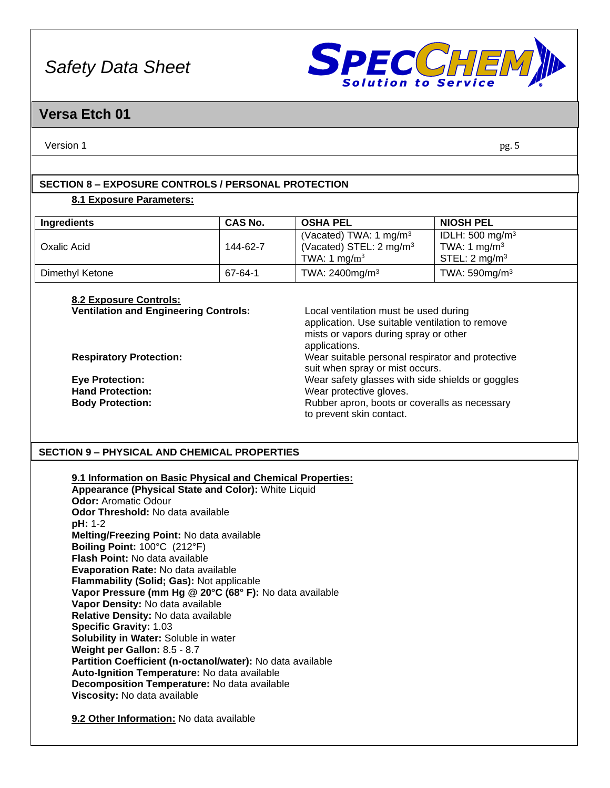

application. Use suitable ventilation to remove

### **Versa Etch 01**

Version 1 pg. 5

### **SECTION 8 – EXPOSURE CONTROLS / PERSONAL PROTECTION**

#### **8.1 Exposure Parameters:**

| Ingredients     | <b>CAS No.</b> | <b>OSHA PEL</b>                                                                             | <b>NIOSH PEL</b>                                                                   |
|-----------------|----------------|---------------------------------------------------------------------------------------------|------------------------------------------------------------------------------------|
| Oxalic Acid     | 144-62-7       | (Vacated) TWA: 1 mg/m <sup>3</sup><br>(Vacated) STEL: $2 \text{ mg/m}^3$<br>TWA: 1 mg/ $m3$ | IDLH: $500 \text{ mg/m}^3$<br>TWA: 1 mg/m <sup>3</sup><br>STEL: $2 \text{ mg/m}^3$ |
| Dimethyl Ketone | 67-64-1        | TWA: $2400$ mg/m <sup>3</sup>                                                               | TWA: $590$ mg/m <sup>3</sup>                                                       |

#### **8.2 Exposure Controls:**

**Ventilation and Engineering Controls:** Local ventilation must be used during

mists or vapors during spray or other applications. **Respiratory Protection:** Wear suitable personal respirator and protective suit when spray or mist occurs. **Eye Protection:** Wear safety glasses with side shields or goggles **Hand Protection:** Network and Mean protective gloves. **Body Protection:** The Rubber apron, boots or coveralls as necessary to prevent skin contact.

#### **SECTION 9 – PHYSICAL AND CHEMICAL PROPERTIES**

#### **9.1 Information on Basic Physical and Chemical Properties:**

**Appearance (Physical State and Color):** White Liquid **Odor:** Aromatic Odour **Odor Threshold:** No data available **pH:** 1-2 **Melting/Freezing Point:** No data available **Boiling Point:** 100°C (212°F) **Flash Point:** No data available **Evaporation Rate:** No data available **Flammability (Solid; Gas):** Not applicable **Vapor Pressure (mm Hg @ 20°C (68° F):** No data available **Vapor Density:** No data available **Relative Density:** No data available **Specific Gravity:** 1.03 **Solubility in Water:** Soluble in water **Weight per Gallon:** 8.5 - 8.7 **Partition Coefficient (n-octanol/water):** No data available **Auto-Ignition Temperature:** No data available **Decomposition Temperature:** No data available **Viscosity:** No data available

**9.2 Other Information:** No data available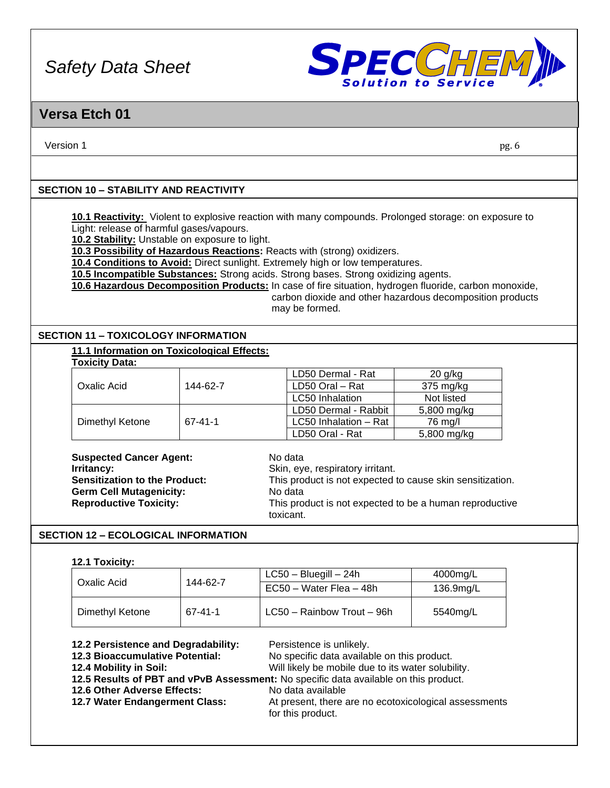

### **Versa Etch 01**

Version 1 pg. 6

### **SECTION 10 – STABILITY AND REACTIVITY**

**10.1 Reactivity:** Violent to explosive reaction with many compounds. Prolonged storage: on exposure to Light: release of harmful gases/vapours.

**10.2 Stability:** Unstable on exposure to light.

**10.3 Possibility of Hazardous Reactions:** Reacts with (strong) oxidizers.

**10.4 Conditions to Avoid:** Direct sunlight. Extremely high or low temperatures.

**10.5 Incompatible Substances:** Strong acids. Strong bases. Strong oxidizing agents.

**10.6 Hazardous Decomposition Products:** In case of fire situation, hydrogen fluoride, carbon monoxide,

carbon dioxide and other hazardous decomposition products may be formed.

#### **SECTION 11 – TOXICOLOGY INFORMATION**

#### **11.1 Information on Toxicological Effects:**

**Toxicity Data:**

|                 |               | LD50 Dermal - Rat     | $20$ g/kg   |
|-----------------|---------------|-----------------------|-------------|
| Oxalic Acid     | 144-62-7      | LD50 Oral - Rat       | 375 mg/kg   |
|                 |               | LC50 Inhalation       | Not listed  |
| Dimethyl Ketone | $67 - 41 - 1$ | LD50 Dermal - Rabbit  | 5,800 mg/kg |
|                 |               | LC50 Inhalation - Rat | 76 mg/l     |
|                 |               | LD50 Oral - Rat       | 5,800 mg/kg |

**Suspected Cancer Agent:** No data **Irritancy:** Skin, eye, respiratory irritant. Germ Cell Mutagenicity: No data

**Sensitization to the Product:** This product is not expected to cause skin sensitization. **Reproductive Toxicity:** This product is not expected to be a human reproductive toxicant.

#### **SECTION 12 – ECOLOGICAL INFORMATION**

#### **12.1 Toxicity:**

|                 |           | $LC50 - Bluegill - 24h$    | 4000mg/L  |  |
|-----------------|-----------|----------------------------|-----------|--|
| Oxalic Acid     | 144-62-7  | EC50 - Water Flea - 48h    | 136.9mg/L |  |
| Dimethyl Ketone | $67-41-1$ | LC50 - Rainbow Trout - 96h | 5540mg/L  |  |

**12.2 Persistence and Degradability:** Persistence is unlikely.

**12.3 Bioaccumulative Potential:** No specific data available on this product.

**12.4 Mobility in Soil:** Will likely be mobile due to its water solubility.

**12.5 Results of PBT and vPvB Assessment:** No specific data available on this product.

**12.6 Other Adverse Effects:** 

**12.7 Water Endangerment Class:** At present, there are no ecotoxicological assessments

for this product.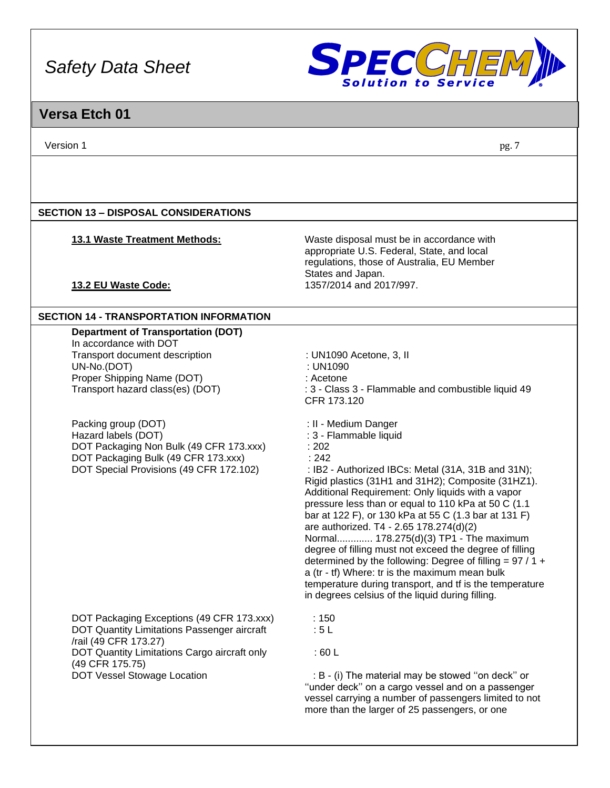

### **Versa Etch 01**

Version 1 pg. 7

#### **SECTION 13 – DISPOSAL CONSIDERATIONS**

**13.1 Waste Treatment Methods:** Waste disposal must be in accordance with appropriate U.S. Federal, State, and local regulations, those of Australia, EU Member States and Japan. **13.2 EU Waste Code:** 1357/2014 and 2017/997.

#### **SECTION 14 - TRANSPORTATION INFORMATION**

#### **Department of Transportation (DOT)**  In accordance with DOT

Transport document description : UN1090 Acetone, 3, II UN-No.(DOT) : UN1090 Proper Shipping Name (DOT) : Acetone

Packing group (DOT) **in the case of the COV** in the Medium Danger Hazard labels (DOT) in the same state of the state of the state of the state of the state of the state of the state of the state of the state of the state of the state of the state of the state of the state of the state of DOT Packaging Non Bulk (49 CFR 173.xxx) : 202 DOT Packaging Bulk (49 CFR 173.xxx) : 242 DOT Special Provisions (49 CFR 172.102) : IB2 - Authorized IBCs: Metal (31A, 31B and 31N);

DOT Packaging Exceptions (49 CFR 173.xxx) : 150 DOT Quantity Limitations Passenger aircraft : 5 L /rail (49 CFR 173.27) DOT Quantity Limitations Cargo aircraft only : 60 L (49 CFR 175.75)

Transport hazard class(es) (DOT) : 3 - Class 3 - Flammable and combustible liquid 49 CFR 173.120

Rigid plastics (31H1 and 31H2); Composite (31HZ1).

Additional Requirement: Only liquids with a vapor pressure less than or equal to 110 kPa at 50 C (1.1 bar at 122 F), or 130 kPa at 55 C (1.3 bar at 131 F) are authorized. T4 - 2.65 178.274(d)(2) Normal............. 178.275(d)(3) TP1 - The maximum degree of filling must not exceed the degree of filling determined by the following: Degree of filling =  $97/1 +$ a (tr - tf) Where: tr is the maximum mean bulk temperature during transport, and tf is the temperature in degrees celsius of the liquid during filling.

DOT Vessel Stowage Location : B - (i) The material may be stowed "on deck" or ''under deck'' on a cargo vessel and on a passenger vessel carrying a number of passengers limited to not more than the larger of 25 passengers, or one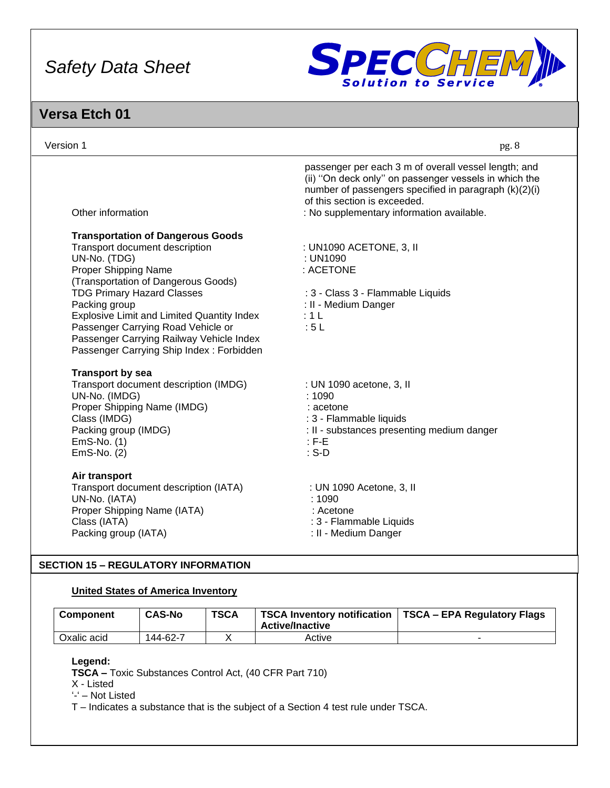

## **Versa Etch 01**

| Version 1                                                                                                                                                                                                                                                                                                                                                                                   | pg. 8                                                                                                                                                                                                                                               |
|---------------------------------------------------------------------------------------------------------------------------------------------------------------------------------------------------------------------------------------------------------------------------------------------------------------------------------------------------------------------------------------------|-----------------------------------------------------------------------------------------------------------------------------------------------------------------------------------------------------------------------------------------------------|
| Other information                                                                                                                                                                                                                                                                                                                                                                           | passenger per each 3 m of overall vessel length; and<br>(ii) "On deck only" on passenger vessels in which the<br>number of passengers specified in paragraph (k)(2)(i)<br>of this section is exceeded.<br>: No supplementary information available. |
| <b>Transportation of Dangerous Goods</b><br>Transport document description<br>UN-No. (TDG)<br>Proper Shipping Name<br>(Transportation of Dangerous Goods)<br><b>TDG Primary Hazard Classes</b><br>Packing group<br>Explosive Limit and Limited Quantity Index<br>Passenger Carrying Road Vehicle or<br>Passenger Carrying Railway Vehicle Index<br>Passenger Carrying Ship Index: Forbidden | : UN1090 ACETONE, 3, II<br>: UN1090<br>: ACETONE<br>: 3 - Class 3 - Flammable Liquids<br>: II - Medium Danger<br>: 1 L<br>:5L                                                                                                                       |
| <b>Transport by sea</b><br>Transport document description (IMDG)<br>UN-No. (IMDG)<br>Proper Shipping Name (IMDG)<br>Class (IMDG)<br>Packing group (IMDG)<br>EmS-No. (1)<br>EmS-No. (2)                                                                                                                                                                                                      | : UN 1090 acetone, 3, II<br>:1090<br>: acetone<br>: 3 - Flammable liquids<br>: II - substances presenting medium danger<br>$E - E$<br>$: S-D$                                                                                                       |
| Air transport<br>Transport document description (IATA)<br>UN-No. (IATA)<br>Proper Shipping Name (IATA)<br>Class (IATA)<br>Packing group (IATA)                                                                                                                                                                                                                                              | : UN 1090 Acetone, 3, II<br>:1090<br>: Acetone<br>: 3 - Flammable Liquids<br>: II - Medium Danger                                                                                                                                                   |

#### **SECTION 15 – REGULATORY INFORMATION**

#### **United States of America Inventory**

| <b>Component</b> | <b>CAS-No</b> | <b>TSCA</b> | TSCA Inventory notification<br><b>Active/Inactive</b> | TSCA – EPA Regulatory Flags |
|------------------|---------------|-------------|-------------------------------------------------------|-----------------------------|
| Oxalic acid      | 144-62-7      |             | Active                                                |                             |

#### **Legend:**

**TSCA –** Toxic Substances Control Act, (40 CFR Part 710)

X - Listed

'-' – Not Listed

T – Indicates a substance that is the subject of a Section 4 test rule under TSCA.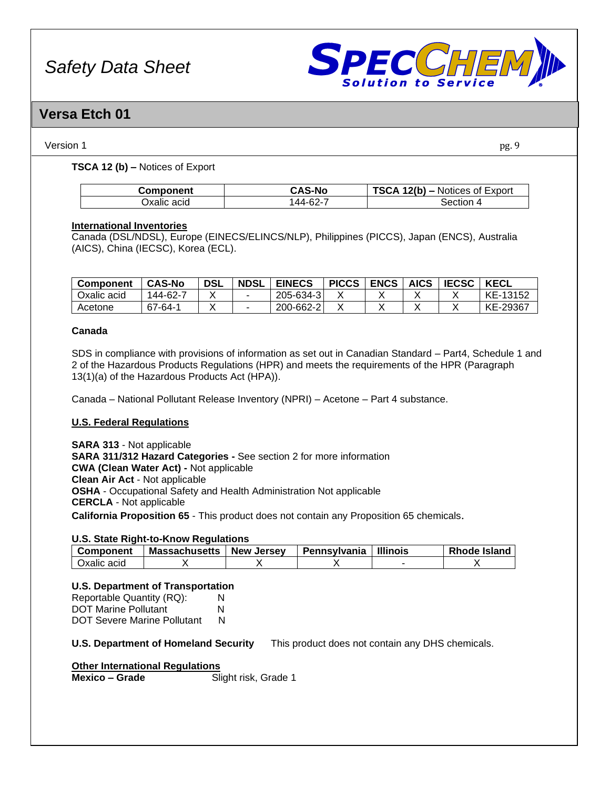

### **Versa Etch 01**

#### Version 1 pg. 9

#### **TSCA 12 (b) –** Notices of Export

| Component   | <b>CAS-No</b> | <b>TSCA 12(b) – Notices of Export</b> |
|-------------|---------------|---------------------------------------|
| Oxalic acid | 44-62-7       | Section 4                             |

#### **International Inventories**

Canada (DSL/NDSL), Europe (EINECS/ELINCS/NLP), Philippines (PICCS), Japan (ENCS), Australia (AICS), China (IECSC), Korea (ECL).

| <b>Component</b> | <b>CAS-No</b> | DSL | <b>NDSL</b> | <b>EINECS</b> | <b>PICCS</b> | <b>ENCS</b> | <b>AICS</b> | <b>IECSC</b> | <b>KECL</b> |
|------------------|---------------|-----|-------------|---------------|--------------|-------------|-------------|--------------|-------------|
| Oxalic acid      | 144-62-7      |     |             | 205-634-3     |              |             |             |              | KE-13152    |
| Acetone          | 67-64-1       |     |             | 200-662-2     |              |             |             |              | KE-29367    |

#### **Canada**

SDS in compliance with provisions of information as set out in Canadian Standard – Part4, Schedule 1 and 2 of the Hazardous Products Regulations (HPR) and meets the requirements of the HPR (Paragraph 13(1)(a) of the Hazardous Products Act (HPA)).

Canada – National Pollutant Release Inventory (NPRI) – Acetone – Part 4 substance.

#### **U.S. Federal Regulations**

**SARA 313** - Not applicable **SARA 311/312 Hazard Categories -** See section 2 for more information **CWA (Clean Water Act) -** Not applicable **Clean Air Act** - Not applicable **OSHA** - Occupational Safety and Health Administration Not applicable **CERCLA** - Not applicable

**California Proposition 65** - This product does not contain any Proposition 65 chemicals.

#### **U.S. State Right-to-Know Regulations**

| <b>Component</b> | Massachusetts | New Jersey | Pennsvlvania | <b>Illinois</b> | Rhode Island |
|------------------|---------------|------------|--------------|-----------------|--------------|
| Oxalic acid      |               |            |              |                 |              |

#### **U.S. Department of Transportation**

| Reportable Quantity (RQ):          | N |
|------------------------------------|---|
| <b>DOT Marine Pollutant</b>        | N |
| <b>DOT Severe Marine Pollutant</b> | N |

**U.S. Department of Homeland Security** This product does not contain any DHS chemicals.

#### **Other International Regulations**

**Mexico – Grade Slight risk, Grade 1**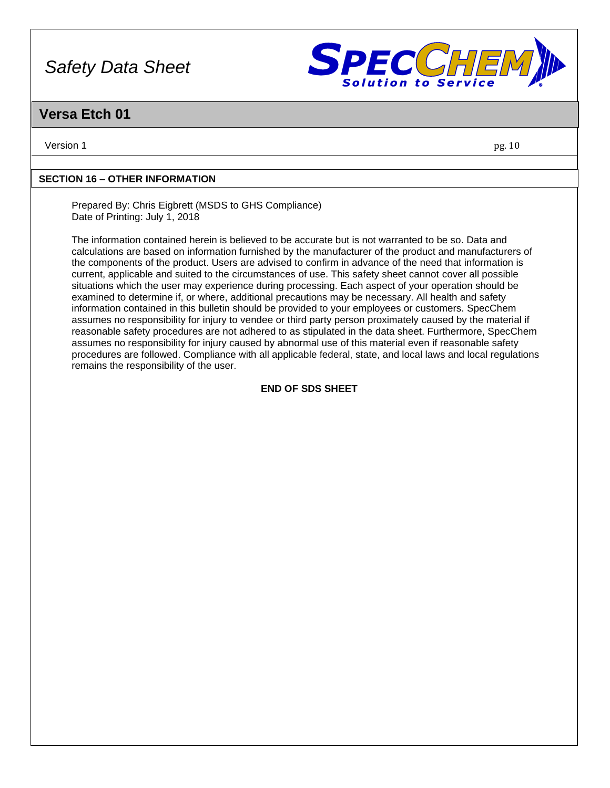

### **Versa Etch 01**

version 1 pg. 10

#### **SECTION 16 – OTHER INFORMATION**

Prepared By: Chris Eigbrett (MSDS to GHS Compliance) Date of Printing: July 1, 2018

The information contained herein is believed to be accurate but is not warranted to be so. Data and calculations are based on information furnished by the manufacturer of the product and manufacturers of the components of the product. Users are advised to confirm in advance of the need that information is current, applicable and suited to the circumstances of use. This safety sheet cannot cover all possible situations which the user may experience during processing. Each aspect of your operation should be examined to determine if, or where, additional precautions may be necessary. All health and safety information contained in this bulletin should be provided to your employees or customers. SpecChem assumes no responsibility for injury to vendee or third party person proximately caused by the material if reasonable safety procedures are not adhered to as stipulated in the data sheet. Furthermore, SpecChem assumes no responsibility for injury caused by abnormal use of this material even if reasonable safety procedures are followed. Compliance with all applicable federal, state, and local laws and local regulations remains the responsibility of the user.

#### **END OF SDS SHEET**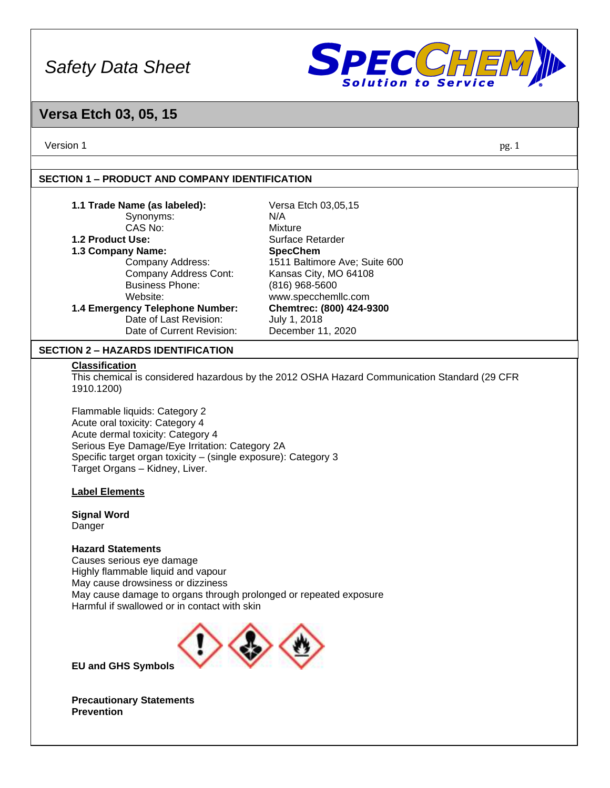

### **Versa Etch 03, 05, 15**

version 1 pg. 1 pg. 1 pg. 1 pg. 1 pg. 1 pg. 1 pg. 1 pg. 1 pg. 1 pg. 1 pg. 1 pg. 1 pg. 1

#### **SECTION 1 – PRODUCT AND COMPANY IDENTIFICATION**

| 1.1 Trade Name (as labeled):    | Versa Etch 03,05,15           |
|---------------------------------|-------------------------------|
| Synonyms:                       | N/A                           |
| CAS No:                         | Mixture                       |
| 1.2 Product Use:                | Surface Retarder              |
| 1.3 Company Name:               | <b>SpecChem</b>               |
| Company Address:                | 1511 Baltimore Ave; Suite 600 |
| Company Address Cont:           | Kansas City, MO 64108         |
| <b>Business Phone:</b>          | $(816)$ 968-5600              |
| Website:                        | www.specchemllc.com           |
| 1.4 Emergency Telephone Number: | Chemtrec: (800) 424-9300      |
| Date of Last Revision:          | July 1, 2018                  |
| Date of Current Revision:       | December 11, 2020             |

#### **SECTION 2 – HAZARDS IDENTIFICATION**

#### **Classification**

This chemical is considered hazardous by the 2012 OSHA Hazard Communication Standard (29 CFR 1910.1200)

Flammable liquids: Category 2 Acute oral toxicity: Category 4 Acute dermal toxicity: Category 4 Serious Eye Damage/Eye Irritation: Category 2A Specific target organ toxicity – (single exposure): Category 3 Target Organs – Kidney, Liver.

#### **Label Elements**

**Signal Word** Danger

#### **Hazard Statements**

Causes serious eye damage Highly flammable liquid and vapour May cause drowsiness or dizziness May cause damage to organs through prolonged or repeated exposure Harmful if swallowed or in contact with skin



**EU and GHS Symbols**

**Precautionary Statements Prevention**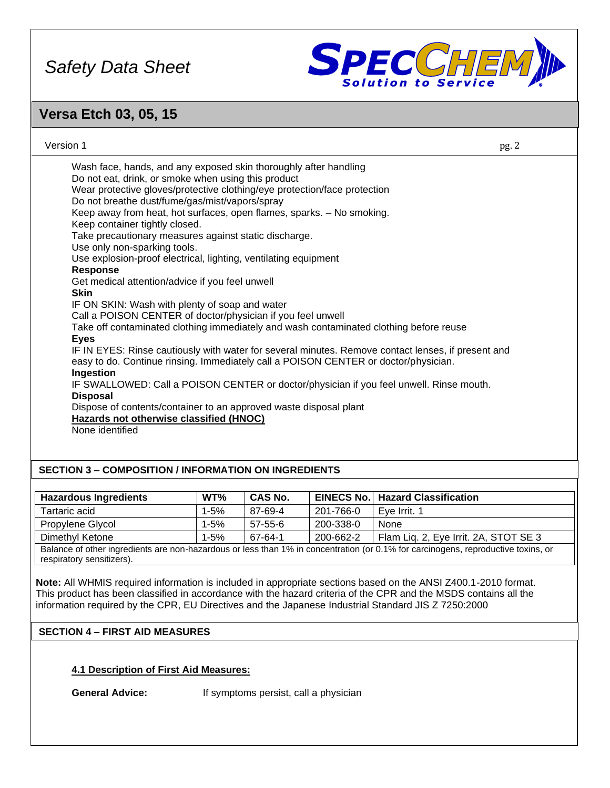

## **Versa Etch 03, 05, 15**

| Version 1                                                                                                                                                                                                                                                                                                                                                                                                                                                                                                                                                                                                                                                                                                                                                                                                                                                                                                                                                                                                                                                                                                                                                                                                                                                                                        | pg. 2 |
|--------------------------------------------------------------------------------------------------------------------------------------------------------------------------------------------------------------------------------------------------------------------------------------------------------------------------------------------------------------------------------------------------------------------------------------------------------------------------------------------------------------------------------------------------------------------------------------------------------------------------------------------------------------------------------------------------------------------------------------------------------------------------------------------------------------------------------------------------------------------------------------------------------------------------------------------------------------------------------------------------------------------------------------------------------------------------------------------------------------------------------------------------------------------------------------------------------------------------------------------------------------------------------------------------|-------|
| Wash face, hands, and any exposed skin thoroughly after handling<br>Do not eat, drink, or smoke when using this product<br>Wear protective gloves/protective clothing/eye protection/face protection<br>Do not breathe dust/fume/gas/mist/vapors/spray<br>Keep away from heat, hot surfaces, open flames, sparks. - No smoking.<br>Keep container tightly closed.<br>Take precautionary measures against static discharge.<br>Use only non-sparking tools.<br>Use explosion-proof electrical, lighting, ventilating equipment<br>Response<br>Get medical attention/advice if you feel unwell<br><b>Skin</b><br>IF ON SKIN: Wash with plenty of soap and water<br>Call a POISON CENTER of doctor/physician if you feel unwell<br>Take off contaminated clothing immediately and wash contaminated clothing before reuse<br><b>Eyes</b><br>IF IN EYES: Rinse cautiously with water for several minutes. Remove contact lenses, if present and<br>easy to do. Continue rinsing. Immediately call a POISON CENTER or doctor/physician.<br>Ingestion<br>IF SWALLOWED: Call a POISON CENTER or doctor/physician if you feel unwell. Rinse mouth.<br><b>Disposal</b><br>Dispose of contents/container to an approved waste disposal plant<br>Hazards not otherwise classified (HNOC)<br>None identified |       |
|                                                                                                                                                                                                                                                                                                                                                                                                                                                                                                                                                                                                                                                                                                                                                                                                                                                                                                                                                                                                                                                                                                                                                                                                                                                                                                  |       |

#### **SECTION 3 – COMPOSITION / INFORMATION ON INGREDIENTS**

| <b>Hazardous Ingredients</b>                                                                                                      | WT%      | <b>CAS No.</b> |           | <b>EINECS No.   Hazard Classification</b> |
|-----------------------------------------------------------------------------------------------------------------------------------|----------|----------------|-----------|-------------------------------------------|
| Tartaric acid                                                                                                                     | $1 - 5%$ | 87-69-4        | 201-766-0 | Eye Irrit. 1                              |
| Propylene Glycol                                                                                                                  | $1 - 5%$ | 57-55-6        | 200-338-0 | None                                      |
| Dimethyl Ketone                                                                                                                   | $1 - 5%$ | 67-64-1        | 200-662-2 | Flam Liq. 2, Eye Irrit. 2A, STOT SE 3     |
| Balance of other ingredients are non-hazardous or less than 1% in concentration (or 0.1% for carcinogens, reproductive toxins, or |          |                |           |                                           |
| respiratory sensitizers).                                                                                                         |          |                |           |                                           |

**Note:** All WHMIS required information is included in appropriate sections based on the ANSI Z400.1-2010 format. This product has been classified in accordance with the hazard criteria of the CPR and the MSDS contains all the information required by the CPR, EU Directives and the Japanese Industrial Standard JIS Z 7250:2000

#### **SECTION 4 – FIRST AID MEASURES**

#### **4.1 Description of First Aid Measures:**

**General Advice:** If symptoms persist, call a physician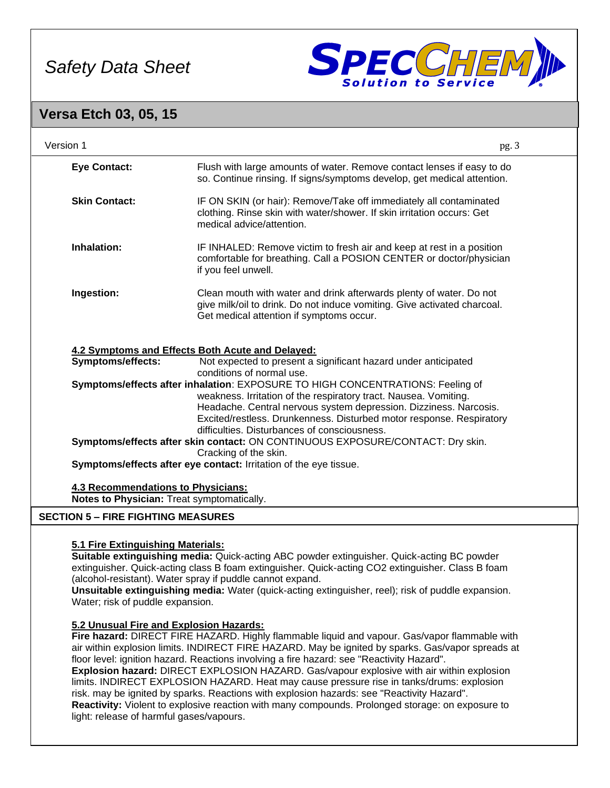

### **Versa Etch 03, 05, 15**

|                                            | pg.3                                                                                                                                                                                        |
|--------------------------------------------|---------------------------------------------------------------------------------------------------------------------------------------------------------------------------------------------|
| <b>Eye Contact:</b>                        | Flush with large amounts of water. Remove contact lenses if easy to do<br>so. Continue rinsing. If signs/symptoms develop, get medical attention.                                           |
| <b>Skin Contact:</b>                       | IF ON SKIN (or hair): Remove/Take off immediately all contaminated<br>clothing. Rinse skin with water/shower. If skin irritation occurs: Get<br>medical advice/attention.                   |
| Inhalation:                                | IF INHALED: Remove victim to fresh air and keep at rest in a position<br>comfortable for breathing. Call a POSION CENTER or doctor/physician<br>if you feel unwell.                         |
| Ingestion:                                 | Clean mouth with water and drink afterwards plenty of water. Do not<br>give milk/oil to drink. Do not induce vomiting. Give activated charcoal.<br>Get medical attention if symptoms occur. |
|                                            |                                                                                                                                                                                             |
|                                            | 4.2 Symptoms and Effects Both Acute and Delayed:                                                                                                                                            |
| <b>Symptoms/effects:</b>                   | Not expected to present a significant hazard under anticipated                                                                                                                              |
|                                            | conditions of normal use.                                                                                                                                                                   |
|                                            | Symptoms/effects after inhalation: EXPOSURE TO HIGH CONCENTRATIONS: Feeling of                                                                                                              |
|                                            | weakness. Irritation of the respiratory tract. Nausea. Vomiting.                                                                                                                            |
|                                            | Headache. Central nervous system depression. Dizziness. Narcosis.                                                                                                                           |
|                                            | Excited/restless. Drunkenness. Disturbed motor response. Respiratory                                                                                                                        |
|                                            | difficulties. Disturbances of consciousness.                                                                                                                                                |
|                                            | Symptoms/effects after skin contact: ON CONTINUOUS EXPOSURE/CONTACT: Dry skin.                                                                                                              |
|                                            | Cracking of the skin.                                                                                                                                                                       |
|                                            | Symptoms/effects after eye contact: Irritation of the eye tissue.                                                                                                                           |
| <b>4.3 Recommendations to Physicians:</b>  |                                                                                                                                                                                             |
| Notes to Physician: Treat symptomatically. |                                                                                                                                                                                             |
| <b>SECTION 5 - FIRE FIGHTING MEASURES</b>  |                                                                                                                                                                                             |

#### **5.1 Fire Extinguishing Materials:**

**Suitable extinguishing media:** Quick-acting ABC powder extinguisher. Quick-acting BC powder extinguisher. Quick-acting class B foam extinguisher. Quick-acting CO2 extinguisher. Class B foam (alcohol-resistant). Water spray if puddle cannot expand.

**Unsuitable extinguishing media:** Water (quick-acting extinguisher, reel); risk of puddle expansion. Water; risk of puddle expansion.

### **5.2 Unusual Fire and Explosion Hazards:**

**Fire hazard:** DIRECT FIRE HAZARD. Highly flammable liquid and vapour. Gas/vapor flammable with air within explosion limits. INDIRECT FIRE HAZARD. May be ignited by sparks. Gas/vapor spreads at floor level: ignition hazard. Reactions involving a fire hazard: see "Reactivity Hazard". **Explosion hazard:** DIRECT EXPLOSION HAZARD. Gas/vapour explosive with air within explosion limits. INDIRECT EXPLOSION HAZARD. Heat may cause pressure rise in tanks/drums: explosion risk. may be ignited by sparks. Reactions with explosion hazards: see "Reactivity Hazard". **Reactivity:** Violent to explosive reaction with many compounds. Prolonged storage: on exposure to light: release of harmful gases/vapours.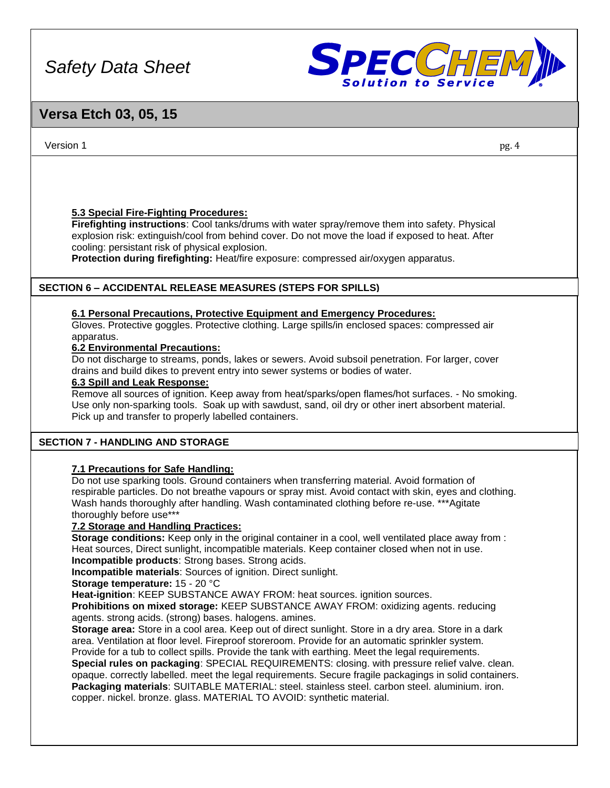

### **Versa Etch 03, 05, 15**

Version 1 pg. 4

#### **5.3 Special Fire-Fighting Procedures:**

**Firefighting instructions**: Cool tanks/drums with water spray/remove them into safety. Physical explosion risk: extinguish/cool from behind cover. Do not move the load if exposed to heat. After cooling: persistant risk of physical explosion.

**Protection during firefighting:** Heat/fire exposure: compressed air/oxygen apparatus.

#### **SECTION 6 – ACCIDENTAL RELEASE MEASURES (STEPS FOR SPILLS)**

#### **6.1 Personal Precautions, Protective Equipment and Emergency Procedures:**

Gloves. Protective goggles. Protective clothing. Large spills/in enclosed spaces: compressed air apparatus.

#### **6.2 Environmental Precautions:**

Do not discharge to streams, ponds, lakes or sewers. Avoid subsoil penetration. For larger, cover drains and build dikes to prevent entry into sewer systems or bodies of water.

#### **6.3 Spill and Leak Response:**

Remove all sources of ignition. Keep away from heat/sparks/open flames/hot surfaces. - No smoking. Use only non-sparking tools. Soak up with sawdust, sand, oil dry or other inert absorbent material. Pick up and transfer to properly labelled containers.

#### **SECTION 7 - HANDLING AND STORAGE**

#### **7.1 Precautions for Safe Handling:**

Do not use sparking tools. Ground containers when transferring material. Avoid formation of respirable particles. Do not breathe vapours or spray mist. Avoid contact with skin, eyes and clothing. Wash hands thoroughly after handling. Wash contaminated clothing before re-use. \*\*\*Agitate thoroughly before use\*\*\*

#### **7.2 Storage and Handling Practices:**

**Storage conditions:** Keep only in the original container in a cool, well ventilated place away from : Heat sources, Direct sunlight, incompatible materials. Keep container closed when not in use.

**Incompatible products**: Strong bases. Strong acids.

**Incompatible materials**: Sources of ignition. Direct sunlight.

**Storage temperature:** 15 - 20 °C

**Heat-ignition**: KEEP SUBSTANCE AWAY FROM: heat sources. ignition sources.

**Prohibitions on mixed storage:** KEEP SUBSTANCE AWAY FROM: oxidizing agents. reducing agents. strong acids. (strong) bases. halogens. amines.

**Storage area:** Store in a cool area. Keep out of direct sunlight. Store in a dry area. Store in a dark area. Ventilation at floor level. Fireproof storeroom. Provide for an automatic sprinkler system.

Provide for a tub to collect spills. Provide the tank with earthing. Meet the legal requirements. **Special rules on packaging**: SPECIAL REQUIREMENTS: closing. with pressure relief valve. clean.

opaque. correctly labelled. meet the legal requirements. Secure fragile packagings in solid containers. **Packaging materials**: SUITABLE MATERIAL: steel. stainless steel. carbon steel. aluminium. iron.

copper. nickel. bronze. glass. MATERIAL TO AVOID: synthetic material.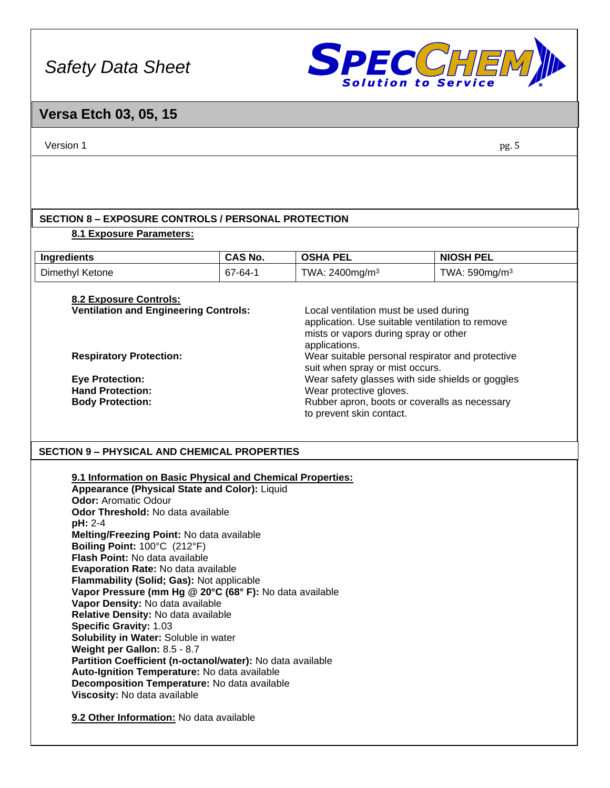

### **Versa Etch 03, 05, 15**

Version 1 pg. 5

#### **SECTION 8 – EXPOSURE CONTROLS / PERSONAL PROTECTION**

#### **8.1 Exposure Parameters:**

| Ingredients     | <b>CAS No.</b> | <b>OSHA PEL</b>               | NIOSH PEL           |
|-----------------|----------------|-------------------------------|---------------------|
| Dimethyl Ketone | 67-64-1        | TWA: $2400$ mg/m <sup>3</sup> | TWA: $590$ mg/m $3$ |

#### **8.2 Exposure Controls:**

**Ventilation and Engineering Controls:** Local ventilation must be used during

application. Use suitable ventilation to remove mists or vapors during spray or other applications. **Respiratory Protection:** Wear suitable personal respirator and protective suit when spray or mist occurs. **Eye Protection:** Wear safety glasses with side shields or goggles Hand Protection: **Hand Protection:** Wear protective gloves. **Body Protection:** The Rubber apron, boots or coveralls as necessary to prevent skin contact.

#### **SECTION 9 – PHYSICAL AND CHEMICAL PROPERTIES**

#### **9.1 Information on Basic Physical and Chemical Properties:**

**Appearance (Physical State and Color):** Liquid **Odor:** Aromatic Odour **Odor Threshold:** No data available **pH:** 2-4 **Melting/Freezing Point:** No data available **Boiling Point:** 100°C (212°F) **Flash Point:** No data available **Evaporation Rate:** No data available **Flammability (Solid; Gas):** Not applicable **Vapor Pressure (mm Hg @ 20°C (68° F):** No data available **Vapor Density:** No data available **Relative Density:** No data available **Specific Gravity:** 1.03 **Solubility in Water:** Soluble in water **Weight per Gallon:** 8.5 - 8.7 **Partition Coefficient (n-octanol/water):** No data available **Auto-Ignition Temperature:** No data available **Decomposition Temperature:** No data available **Viscosity:** No data available

**9.2 Other Information:** No data available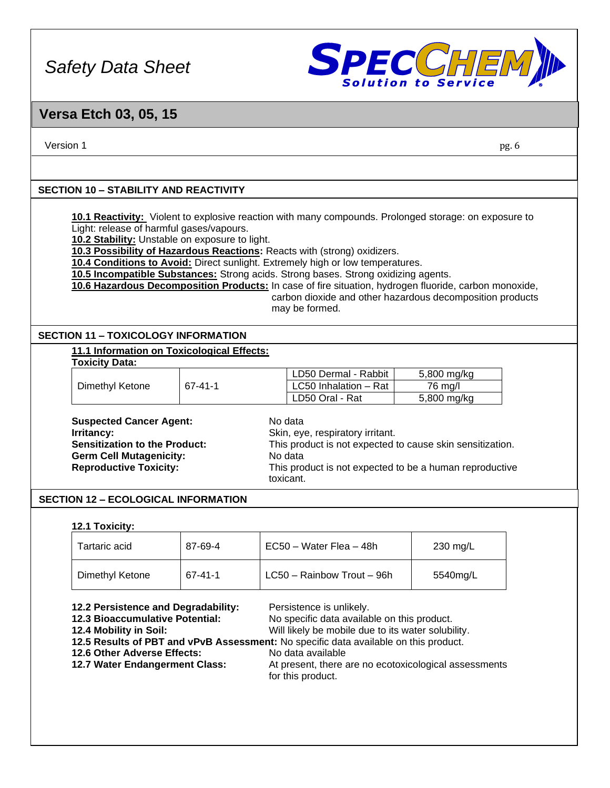

### **Versa Etch 03, 05, 15**

Version 1 pg. 6

### **SECTION 10 – STABILITY AND REACTIVITY**

**10.1 Reactivity:** Violent to explosive reaction with many compounds. Prolonged storage: on exposure to Light: release of harmful gases/vapours.

**10.2 Stability:** Unstable on exposure to light.

**10.3 Possibility of Hazardous Reactions:** Reacts with (strong) oxidizers.

**10.4 Conditions to Avoid:** Direct sunlight. Extremely high or low temperatures.

**10.5 Incompatible Substances:** Strong acids. Strong bases. Strong oxidizing agents.

**10.6 Hazardous Decomposition Products:** In case of fire situation, hydrogen fluoride, carbon monoxide,

carbon dioxide and other hazardous decomposition products may be formed.

#### **SECTION 11 – TOXICOLOGY INFORMATION**

#### **11.1 Information on Toxicological Effects:**

**Toxicity Data:**

|                 |                 | LD50 Dermal - Rabbit  | 5,800 mg/kg |
|-----------------|-----------------|-----------------------|-------------|
| Dimethyl Ketone | $67 - 41 - 1$   | LC50 Inhalation - Rat | 76 mg/l     |
|                 | LD50 Oral - Rat | 5,800 mg/kg           |             |

**Suspected Cancer Agent:** No data **Irritancy:** Skin, eye, respiratory irritant. Germ Cell Mutagenicity: No data

**Sensitization to the Product:** This product is not expected to cause skin sensitization. **Reproductive Toxicity:** This product is not expected to be a human reproductive toxicant.

#### **SECTION 12 – ECOLOGICAL INFORMATION**

#### **12.1 Toxicity:**

| Tartaric acid   | 87-69-4 | EC50 - Water Flea - 48h    | $230 \text{ mg/L}$ |
|-----------------|---------|----------------------------|--------------------|
| Dimethyl Ketone | 67-41-1 | LC50 - Rainbow Trout - 96h | 5540mg/L           |

| 12.2 Persistence and Degradability: | Persistence is unlikely. |
|-------------------------------------|--------------------------|
|                                     |                          |

**12.3 Bioaccumulative Potential:** No specific data available on this product.

**12.4 Mobility in Soil:** Will likely be mobile due to its water solubility.

**12.5 Results of PBT and vPvB Assessment:** No specific data available on this product.

**12.6 Other Adverse Effects:** No data available

**12.7 Water Endangerment Class:** At present, there are no ecotoxicological assessments for this product.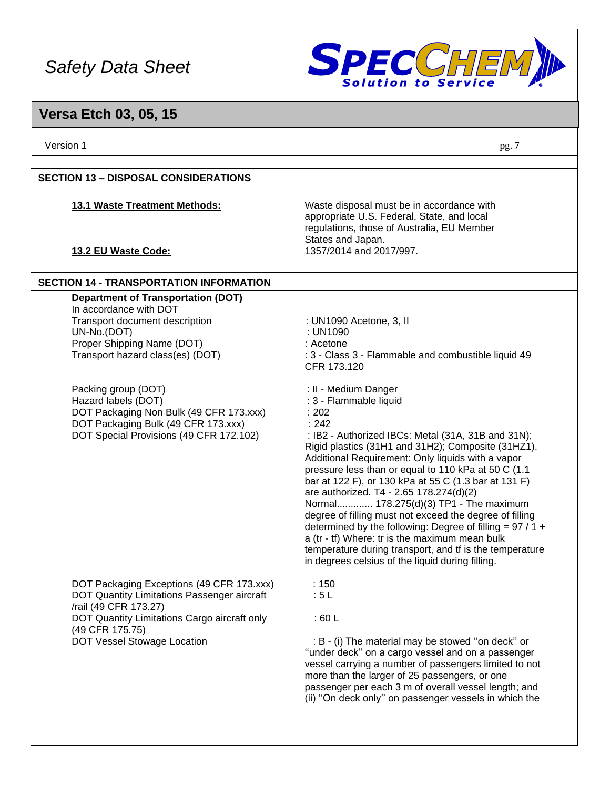

### **Versa Etch 03, 05, 15**

Version 1 pg. 7

#### **SECTION 13 – DISPOSAL CONSIDERATIONS**

**13.1 Waste Treatment Methods:** Waste disposal must be in accordance with appropriate U.S. Federal, State, and local regulations, those of Australia, EU Member States and Japan. **13.2 EU Waste Code:** 1357/2014 and 2017/997.

#### **SECTION 14 - TRANSPORTATION INFORMATION**

**Department of Transportation (DOT)**  In accordance with DOT Transport document description : UN1090 Acetone, 3, II UN-No.(DOT) : UN1090 Proper Shipping Name (DOT) : Acetone

Packing group (DOT)  $\qquad \qquad$  : II - Medium Danger Hazard labels (DOT) is a set of the state of the state of the state of the state of the state of the state of the state of the state of the state of the state of the state of the state of the state of the state of the stat DOT Packaging Non Bulk (49 CFR 173.xxx) : 202 DOT Packaging Bulk (49 CFR 173.xxx) : 242

: 3 - Class 3 - Flammable and combustible liquid 49 CFR 173.120

DOT Special Provisions (49 CFR 172.102) : IB2 - Authorized IBCs: Metal (31A, 31B and 31N); Rigid plastics (31H1 and 31H2); Composite (31HZ1). Additional Requirement: Only liquids with a vapor pressure less than or equal to 110 kPa at 50 C (1.1 bar at 122 F), or 130 kPa at 55 C (1.3 bar at 131 F) are authorized. T4 - 2.65 178.274(d)(2) Normal............. 178.275(d)(3) TP1 - The maximum degree of filling must not exceed the degree of filling determined by the following: Degree of filling =  $97/1 +$ a (tr - tf) Where: tr is the maximum mean bulk temperature during transport, and tf is the temperature in degrees celsius of the liquid during filling.

DOT Packaging Exceptions (49 CFR 173.xxx) : 150 DOT Quantity Limitations Passenger aircraft : 5 L /rail (49 CFR 173.27) DOT Quantity Limitations Cargo aircraft only : 60 L (49 CFR 175.75)

DOT Vessel Stowage Location : B - (i) The material may be stowed "on deck" or ''under deck'' on a cargo vessel and on a passenger vessel carrying a number of passengers limited to not more than the larger of 25 passengers, or one passenger per each 3 m of overall vessel length; and (ii) ''On deck only'' on passenger vessels in which the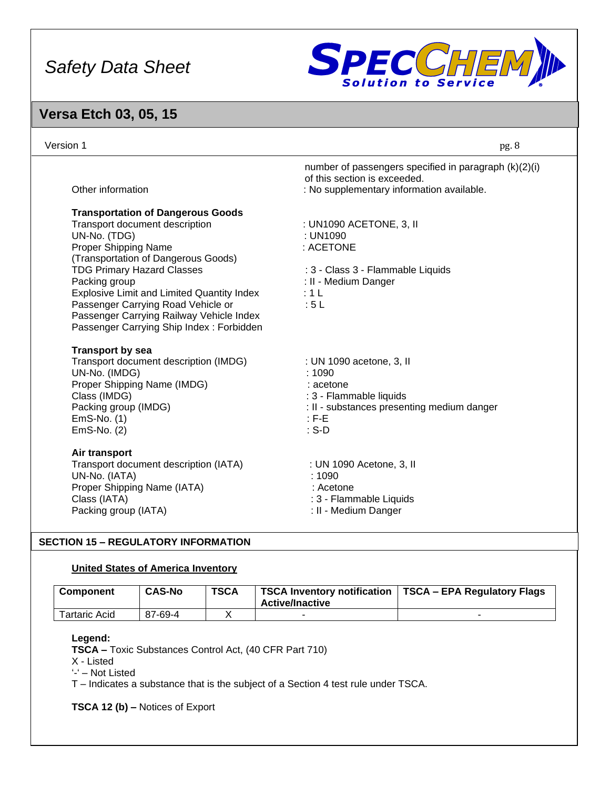

## **Versa Etch 03, 05, 15**

| Version 1                                                                                                                                                                                                                                                                                                                                                                                          | pg. 8                                                                                                                                            |
|----------------------------------------------------------------------------------------------------------------------------------------------------------------------------------------------------------------------------------------------------------------------------------------------------------------------------------------------------------------------------------------------------|--------------------------------------------------------------------------------------------------------------------------------------------------|
| Other information                                                                                                                                                                                                                                                                                                                                                                                  | number of passengers specified in paragraph (k)(2)(i)<br>of this section is exceeded.<br>: No supplementary information available.               |
| <b>Transportation of Dangerous Goods</b><br>Transport document description<br>UN-No. (TDG)<br>Proper Shipping Name<br>(Transportation of Dangerous Goods)<br><b>TDG Primary Hazard Classes</b><br>Packing group<br><b>Explosive Limit and Limited Quantity Index</b><br>Passenger Carrying Road Vehicle or<br>Passenger Carrying Railway Vehicle Index<br>Passenger Carrying Ship Index: Forbidden | : UN1090 ACETONE, 3, II<br>: UN1090<br>: ACETONE<br>: 3 - Class 3 - Flammable Liquids<br>: II - Medium Danger<br>:1L<br>:5L                      |
| <b>Transport by sea</b><br>Transport document description (IMDG)<br>UN-No. (IMDG)<br>Proper Shipping Name (IMDG)<br>Class (IMDG)<br>Packing group (IMDG)<br>EmS-No. (1)<br>EmS-No. (2)                                                                                                                                                                                                             | : UN 1090 acetone, 3, II<br>:1090<br>acetone :<br>: 3 - Flammable liquids<br>: II - substances presenting medium danger<br>$\pm$ F-E.<br>$: S-D$ |
| Air transport<br>Transport document description (IATA)<br>UN-No. (IATA)<br>Proper Shipping Name (IATA)<br>Class (IATA)<br>Packing group (IATA)                                                                                                                                                                                                                                                     | : UN 1090 Acetone, 3, II<br>: 1090<br>: Acetone<br>: 3 - Flammable Liquids<br>: II - Medium Danger                                               |

#### **SECTION 15 – REGULATORY INFORMATION**

#### **United States of America Inventory**

| <b>Component</b> | <b>CAS-No</b> | <b>TSCA</b> | <b>Active/Inactive</b> | TSCA Inventory notification   TSCA – EPA Regulatory Flags |
|------------------|---------------|-------------|------------------------|-----------------------------------------------------------|
| Tartaric Acid    | 87-69-4       |             |                        |                                                           |

#### **Legend:**

**TSCA –** Toxic Substances Control Act, (40 CFR Part 710)

X - Listed

'-' – Not Listed

T – Indicates a substance that is the subject of a Section 4 test rule under TSCA.

**TSCA 12 (b) –** Notices of Export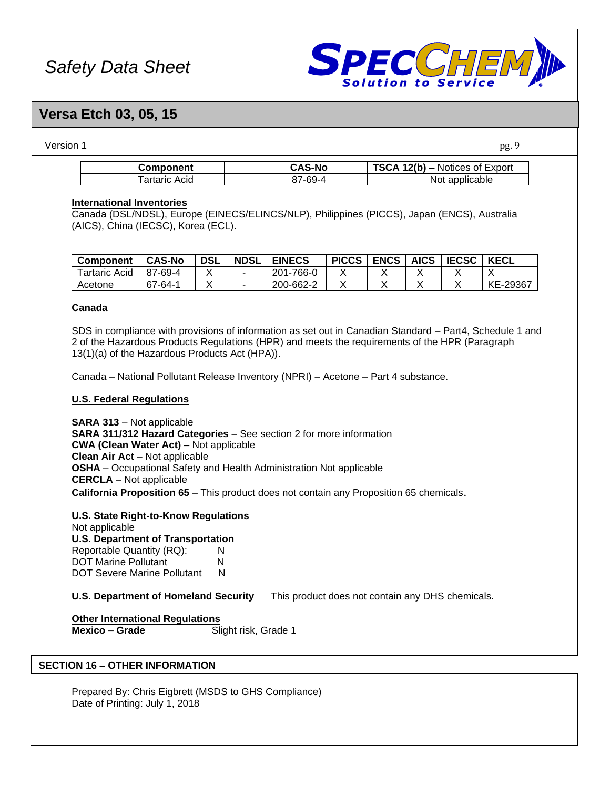

### **Versa Etch 03, 05, 15**

| Component     | <b>CAS-No</b> | <b>TSCA 12(b) – Notices of Export</b> |
|---------------|---------------|---------------------------------------|
| Tartaric Acid | 87-69-4       | Not applicable                        |

#### **International Inventories**

Canada (DSL/NDSL), Europe (EINECS/ELINCS/NLP), Philippines (PICCS), Japan (ENCS), Australia (AICS), China (IECSC), Korea (ECL).

| <b>Component</b> | <b>CAS-No</b> | <b>DSL</b> | <b>NDSL</b> | <b>EINECS</b> | <b>PICCS</b> | <b>ENCS</b> | <b>AICS</b> | <b>IECSC</b> | <b>KECL</b> |
|------------------|---------------|------------|-------------|---------------|--------------|-------------|-------------|--------------|-------------|
| Tartaric Acid    | 87-69-4       |            |             | 201-766-0     |              |             |             |              |             |
| Acetone          | 67-64-1       |            |             | 200-662-2     |              |             |             |              | KE-29367    |

#### **Canada**

SDS in compliance with provisions of information as set out in Canadian Standard – Part4, Schedule 1 and 2 of the Hazardous Products Regulations (HPR) and meets the requirements of the HPR (Paragraph 13(1)(a) of the Hazardous Products Act (HPA)).

Canada – National Pollutant Release Inventory (NPRI) – Acetone – Part 4 substance.

#### **U.S. Federal Regulations**

**SARA 313** – Not applicable **SARA 311/312 Hazard Categories** – See section 2 for more information **CWA (Clean Water Act) –** Not applicable **Clean Air Act** – Not applicable **OSHA** – Occupational Safety and Health Administration Not applicable **CERCLA** – Not applicable **California Proposition 65** – This product does not contain any Proposition 65 chemicals.

**U.S. State Right-to-Know Regulations** Not applicable **U.S. Department of Transportation** Reportable Quantity (RQ): N DOT Marine Pollutant N DOT Severe Marine Pollutant N

**U.S. Department of Homeland Security** This product does not contain any DHS chemicals.

#### **Other International Regulations**

**Mexico – Grade Slight risk, Grade 1** 

#### **SECTION 16 – OTHER INFORMATION**

Prepared By: Chris Eigbrett (MSDS to GHS Compliance) Date of Printing: July 1, 2018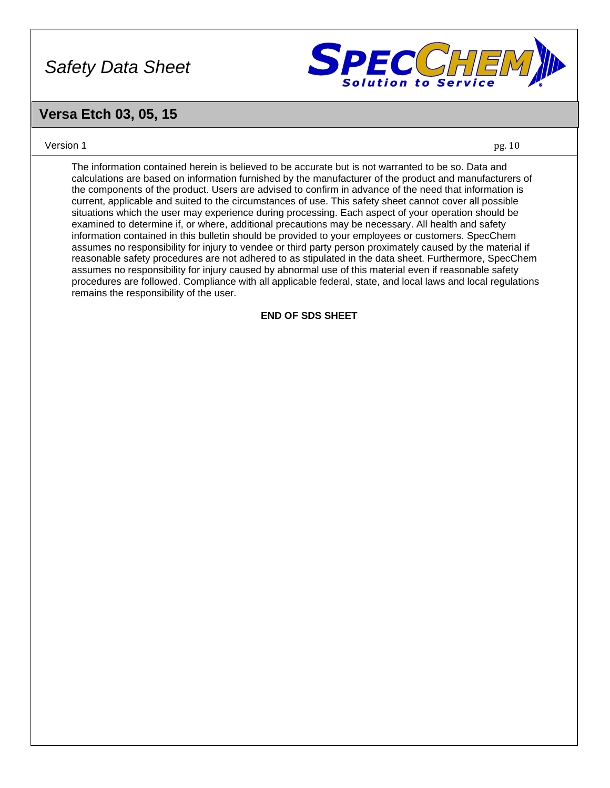

## **Versa Etch 03, 05, 15**

#### version 1 pg. 10

The information contained herein is believed to be accurate but is not warranted to be so. Data and calculations are based on information furnished by the manufacturer of the product and manufacturers of the components of the product. Users are advised to confirm in advance of the need that information is current, applicable and suited to the circumstances of use. This safety sheet cannot cover all possible situations which the user may experience during processing. Each aspect of your operation should be examined to determine if, or where, additional precautions may be necessary. All health and safety information contained in this bulletin should be provided to your employees or customers. SpecChem assumes no responsibility for injury to vendee or third party person proximately caused by the material if reasonable safety procedures are not adhered to as stipulated in the data sheet. Furthermore, SpecChem assumes no responsibility for injury caused by abnormal use of this material even if reasonable safety procedures are followed. Compliance with all applicable federal, state, and local laws and local regulations remains the responsibility of the user.

**END OF SDS SHEET**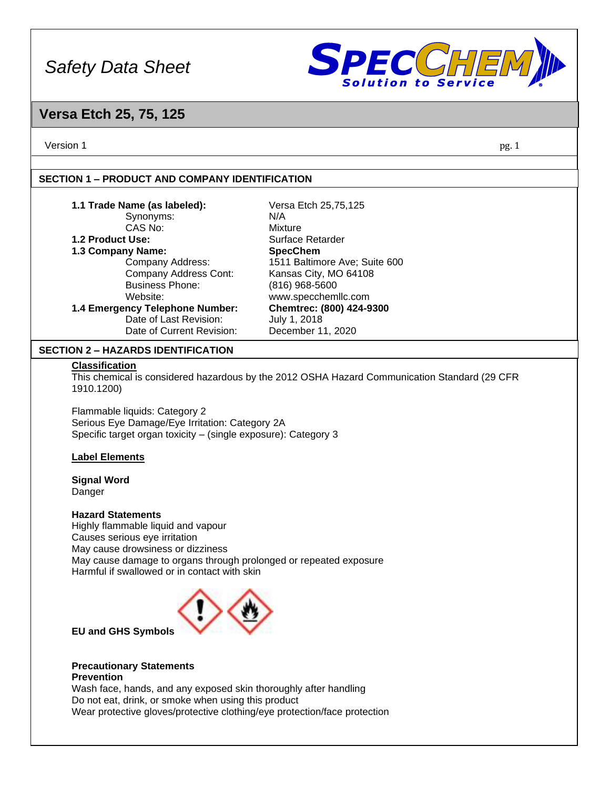

### **Versa Etch 25, 75, 125**

version 1 pg. 1 pg. 1 pg. 1 pg. 1 pg. 1 pg. 1 pg. 1 pg. 1 pg. 1 pg. 1 pg. 1 pg. 1 pg. 1

#### **SECTION 1 – PRODUCT AND COMPANY IDENTIFICATION**

| 1.1 Trade Name (as labeled):    | Versa Etch 25,75,125          |
|---------------------------------|-------------------------------|
| Synonyms:                       | N/A                           |
| CAS No:                         | Mixture                       |
| <b>1.2 Product Use:</b>         | Surface Retarder              |
| 1.3 Company Name:               | <b>SpecChem</b>               |
| Company Address:                | 1511 Baltimore Ave; Suite 600 |
| Company Address Cont:           | Kansas City, MO 64108         |
| <b>Business Phone:</b>          | $(816)$ 968-5600              |
| Website:                        | www.specchemllc.com           |
| 1.4 Emergency Telephone Number: | Chemtrec: (800) 424-9300      |
| Date of Last Revision:          | July 1, 2018                  |
| Date of Current Revision:       | December 11, 2020             |

#### **SECTION 2 – HAZARDS IDENTIFICATION**

#### **Classification**

This chemical is considered hazardous by the 2012 OSHA Hazard Communication Standard (29 CFR 1910.1200)

Flammable liquids: Category 2 Serious Eye Damage/Eye Irritation: Category 2A Specific target organ toxicity – (single exposure): Category 3

#### **Label Elements**

#### **Signal Word** Danger

#### **Hazard Statements**

Highly flammable liquid and vapour Causes serious eye irritation May cause drowsiness or dizziness May cause damage to organs through prolonged or repeated exposure Harmful if swallowed or in contact with skin



## **EU and GHS Symbols**

#### **Precautionary Statements Prevention**

Wash face, hands, and any exposed skin thoroughly after handling Do not eat, drink, or smoke when using this product Wear protective gloves/protective clothing/eye protection/face protection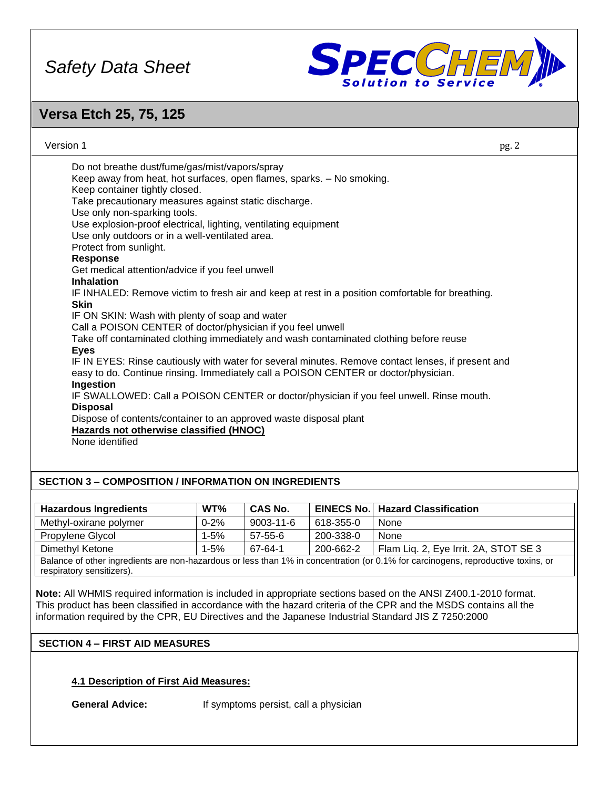

## **Versa Etch 25, 75, 125**

| Version 1                                                                                          | pg.2 |
|----------------------------------------------------------------------------------------------------|------|
| Do not breathe dust/fume/gas/mist/vapors/spray                                                     |      |
| Keep away from heat, hot surfaces, open flames, sparks. - No smoking.                              |      |
| Keep container tightly closed.                                                                     |      |
| Take precautionary measures against static discharge.                                              |      |
| Use only non-sparking tools.                                                                       |      |
| Use explosion-proof electrical, lighting, ventilating equipment                                    |      |
| Use only outdoors or in a well-ventilated area.                                                    |      |
| Protect from sunlight.                                                                             |      |
| Response                                                                                           |      |
| Get medical attention/advice if you feel unwell                                                    |      |
| <b>Inhalation</b>                                                                                  |      |
| IF INHALED: Remove victim to fresh air and keep at rest in a position comfortable for breathing.   |      |
| <b>Skin</b>                                                                                        |      |
| IF ON SKIN: Wash with plenty of soap and water                                                     |      |
| Call a POISON CENTER of doctor/physician if you feel unwell                                        |      |
| Take off contaminated clothing immediately and wash contaminated clothing before reuse             |      |
| <b>Eyes</b>                                                                                        |      |
| IF IN EYES: Rinse cautiously with water for several minutes. Remove contact lenses, if present and |      |
| easy to do. Continue rinsing. Immediately call a POISON CENTER or doctor/physician.                |      |
| Ingestion                                                                                          |      |
| IF SWALLOWED: Call a POISON CENTER or doctor/physician if you feel unwell. Rinse mouth.            |      |
| <b>Disposal</b>                                                                                    |      |
| Dispose of contents/container to an approved waste disposal plant                                  |      |
| Hazards not otherwise classified (HNOC)                                                            |      |
| None identified                                                                                    |      |
|                                                                                                    |      |
|                                                                                                    |      |
|                                                                                                    |      |

#### **SECTION 3 – COMPOSITION / INFORMATION ON INGREDIENTS**

| <b>Hazardous Ingredients</b> | WT%      | <b>CAS No.</b>  |           | <b>EINECS No.   Hazard Classification</b>                                                                                         |
|------------------------------|----------|-----------------|-----------|-----------------------------------------------------------------------------------------------------------------------------------|
| Methyl-oxirane polymer       | $0 - 2%$ | $9003 - 11 - 6$ | 618-355-0 | None                                                                                                                              |
| Propylene Glycol             | $1 - 5%$ | 57-55-6         | 200-338-0 | None                                                                                                                              |
| Dimethyl Ketone              | $1 - 5%$ | 67-64-1         | 200-662-2 | Flam Lig. 2, Eye Irrit. 2A, STOT SE 3                                                                                             |
| respiratory sensitizers).    |          |                 |           | Balance of other ingredients are non-hazardous or less than 1% in concentration (or 0.1% for carcinogens, reproductive toxins, or |

**Note:** All WHMIS required information is included in appropriate sections based on the ANSI Z400.1-2010 format. This product has been classified in accordance with the hazard criteria of the CPR and the MSDS contains all the information required by the CPR, EU Directives and the Japanese Industrial Standard JIS Z 7250:2000

#### **SECTION 4 – FIRST AID MEASURES**

#### **4.1 Description of First Aid Measures:**

**General Advice:** If symptoms persist, call a physician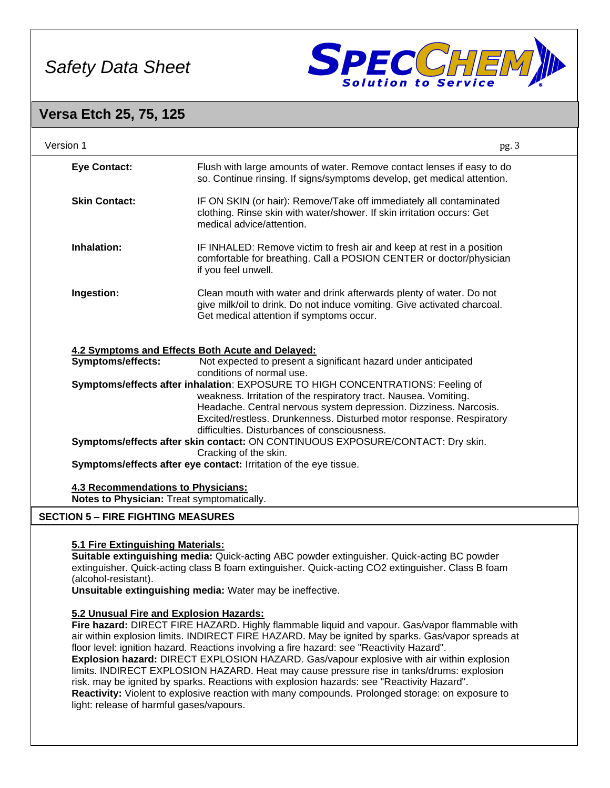

### **Versa Etch 25, 75, 125**

| Version 1                                                                               | pg.3                                                                                                                                                                                        |
|-----------------------------------------------------------------------------------------|---------------------------------------------------------------------------------------------------------------------------------------------------------------------------------------------|
| <b>Eye Contact:</b>                                                                     | Flush with large amounts of water. Remove contact lenses if easy to do<br>so. Continue rinsing. If signs/symptoms develop, get medical attention.                                           |
| <b>Skin Contact:</b>                                                                    | IF ON SKIN (or hair): Remove/Take off immediately all contaminated<br>clothing. Rinse skin with water/shower. If skin irritation occurs: Get<br>medical advice/attention.                   |
| Inhalation:                                                                             | IF INHALED: Remove victim to fresh air and keep at rest in a position<br>comfortable for breathing. Call a POSION CENTER or doctor/physician<br>if you feel unwell.                         |
| Ingestion:                                                                              | Clean mouth with water and drink afterwards plenty of water. Do not<br>give milk/oil to drink. Do not induce vomiting. Give activated charcoal.<br>Get medical attention if symptoms occur. |
|                                                                                         |                                                                                                                                                                                             |
| <b>Symptoms/effects:</b>                                                                | 4.2 Symptoms and Effects Both Acute and Delayed:<br>Not expected to present a significant hazard under anticipated                                                                          |
|                                                                                         | conditions of normal use.                                                                                                                                                                   |
|                                                                                         | Symptoms/effects after inhalation: EXPOSURE TO HIGH CONCENTRATIONS: Feeling of                                                                                                              |
|                                                                                         | weakness. Irritation of the respiratory tract. Nausea. Vomiting.                                                                                                                            |
|                                                                                         | Headache. Central nervous system depression. Dizziness. Narcosis.                                                                                                                           |
|                                                                                         | Excited/restless. Drunkenness. Disturbed motor response. Respiratory                                                                                                                        |
|                                                                                         | difficulties. Disturbances of consciousness.                                                                                                                                                |
|                                                                                         | Symptoms/effects after skin contact: ON CONTINUOUS EXPOSURE/CONTACT: Dry skin.                                                                                                              |
|                                                                                         | Cracking of the skin.                                                                                                                                                                       |
|                                                                                         | Symptoms/effects after eye contact: Irritation of the eye tissue.                                                                                                                           |
|                                                                                         |                                                                                                                                                                                             |
| <b>4.3 Recommendations to Physicians:</b><br>Notes to Physician: Treat symptomatically. |                                                                                                                                                                                             |
|                                                                                         |                                                                                                                                                                                             |
| <b>SECTION 5 - FIRE FIGHTING MEASURES</b>                                               |                                                                                                                                                                                             |
| 5.1 Fire Extinguishing Materials:                                                       |                                                                                                                                                                                             |

**Suitable extinguishing media:** Quick-acting ABC powder extinguisher. Quick-acting BC powder extinguisher. Quick-acting class B foam extinguisher. Quick-acting CO2 extinguisher. Class B foam (alcohol-resistant).

**Unsuitable extinguishing media:** Water may be ineffective.

#### **5.2 Unusual Fire and Explosion Hazards:**

**Fire hazard:** DIRECT FIRE HAZARD. Highly flammable liquid and vapour. Gas/vapor flammable with air within explosion limits. INDIRECT FIRE HAZARD. May be ignited by sparks. Gas/vapor spreads at floor level: ignition hazard. Reactions involving a fire hazard: see "Reactivity Hazard". **Explosion hazard:** DIRECT EXPLOSION HAZARD. Gas/vapour explosive with air within explosion limits. INDIRECT EXPLOSION HAZARD. Heat may cause pressure rise in tanks/drums: explosion risk. may be ignited by sparks. Reactions with explosion hazards: see "Reactivity Hazard". **Reactivity:** Violent to explosive reaction with many compounds. Prolonged storage: on exposure to light: release of harmful gases/vapours.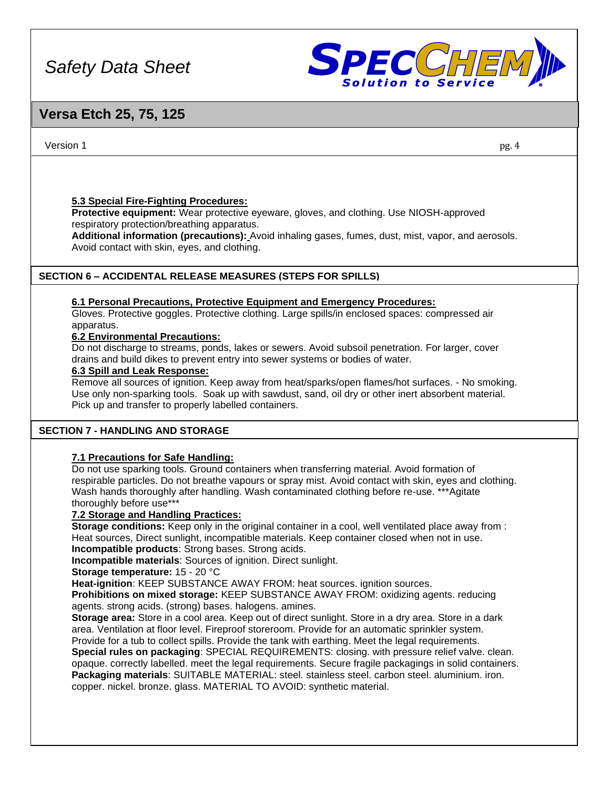

### **Versa Etch 25, 75, 125**

Version 1 pg. 4

#### **5.3 Special Fire-Fighting Procedures:**

**Protective equipment:** Wear protective eyeware, gloves, and clothing. Use NIOSH-approved respiratory protection/breathing apparatus.

**Additional information (precautions):** Avoid inhaling gases, fumes, dust, mist, vapor, and aerosols. Avoid contact with skin, eyes, and clothing.

#### **SECTION 6 – ACCIDENTAL RELEASE MEASURES (STEPS FOR SPILLS)**

#### **6.1 Personal Precautions, Protective Equipment and Emergency Procedures:**

Gloves. Protective goggles. Protective clothing. Large spills/in enclosed spaces: compressed air apparatus.

#### **6.2 Environmental Precautions:**

Do not discharge to streams, ponds, lakes or sewers. Avoid subsoil penetration. For larger, cover drains and build dikes to prevent entry into sewer systems or bodies of water.

#### **6.3 Spill and Leak Response:**

Remove all sources of ignition. Keep away from heat/sparks/open flames/hot surfaces. - No smoking. Use only non-sparking tools. Soak up with sawdust, sand, oil dry or other inert absorbent material. Pick up and transfer to properly labelled containers.

#### **SECTION 7 - HANDLING AND STORAGE**

#### **7.1 Precautions for Safe Handling:**

Do not use sparking tools. Ground containers when transferring material. Avoid formation of respirable particles. Do not breathe vapours or spray mist. Avoid contact with skin, eyes and clothing. Wash hands thoroughly after handling. Wash contaminated clothing before re-use. \*\*\*Agitate thoroughly before use\*\*\*

#### **7.2 Storage and Handling Practices:**

**Storage conditions:** Keep only in the original container in a cool, well ventilated place away from : Heat sources, Direct sunlight, incompatible materials. Keep container closed when not in use. **Incompatible products**: Strong bases. Strong acids.

**Incompatible materials**: Sources of ignition. Direct sunlight.

**Storage temperature:** 15 - 20 °C

**Heat-ignition**: KEEP SUBSTANCE AWAY FROM: heat sources. ignition sources.

**Prohibitions on mixed storage:** KEEP SUBSTANCE AWAY FROM: oxidizing agents. reducing agents. strong acids. (strong) bases. halogens. amines.

**Storage area:** Store in a cool area. Keep out of direct sunlight. Store in a dry area. Store in a dark area. Ventilation at floor level. Fireproof storeroom. Provide for an automatic sprinkler system. Provide for a tub to collect spills. Provide the tank with earthing. Meet the legal requirements.

**Special rules on packaging**: SPECIAL REQUIREMENTS: closing. with pressure relief valve. clean. opaque. correctly labelled. meet the legal requirements. Secure fragile packagings in solid containers. **Packaging materials**: SUITABLE MATERIAL: steel. stainless steel. carbon steel. aluminium. iron. copper. nickel. bronze. glass. MATERIAL TO AVOID: synthetic material.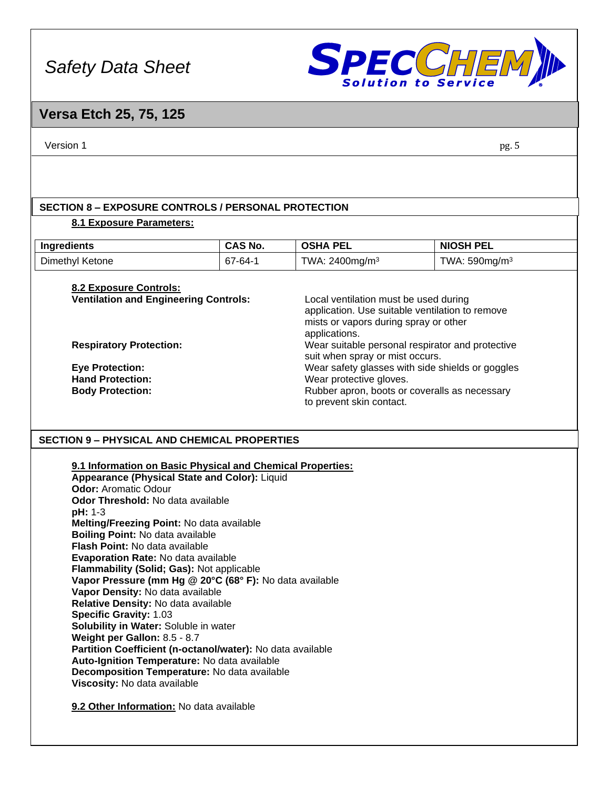

### **Versa Etch 25, 75, 125**

Version 1 pg. 5

#### **SECTION 8 – EXPOSURE CONTROLS / PERSONAL PROTECTION**

#### **8.1 Exposure Parameters:**

| Ingredients     | CAS No. | <b>OSHA PEL</b>      | <b>NIOSH PEL</b>             |
|-----------------|---------|----------------------|------------------------------|
| Dimethyl Ketone | 67-64-1 | TWA: $2400$ mg/m $3$ | TWA: $590$ mg/m <sup>3</sup> |

### **8.2 Exposure Controls:**

**Ventilation and Engineering Controls:** Local ventilation must be used during

application. Use suitable ventilation to remove mists or vapors during spray or other applications. **Respiratory Protection:** Wear suitable personal respirator and protective suit when spray or mist occurs. **Eye Protection:** Wear safety glasses with side shields or goggles Hand Protection: **Hand Protection:** Wear protective gloves.

**Body Protection: Rubber apron, boots or coveralls as necessary** to prevent skin contact.

#### **SECTION 9 – PHYSICAL AND CHEMICAL PROPERTIES**

#### **9.1 Information on Basic Physical and Chemical Properties:**

**Appearance (Physical State and Color):** Liquid **Odor:** Aromatic Odour **Odor Threshold:** No data available **pH:** 1-3 **Melting/Freezing Point:** No data available **Boiling Point:** No data available **Flash Point:** No data available **Evaporation Rate:** No data available **Flammability (Solid; Gas):** Not applicable **Vapor Pressure (mm Hg @ 20°C (68° F):** No data available **Vapor Density:** No data available **Relative Density:** No data available **Specific Gravity:** 1.03 **Solubility in Water:** Soluble in water **Weight per Gallon:** 8.5 - 8.7 **Partition Coefficient (n-octanol/water):** No data available **Auto-Ignition Temperature:** No data available **Decomposition Temperature:** No data available **Viscosity:** No data available

**9.2 Other Information:** No data available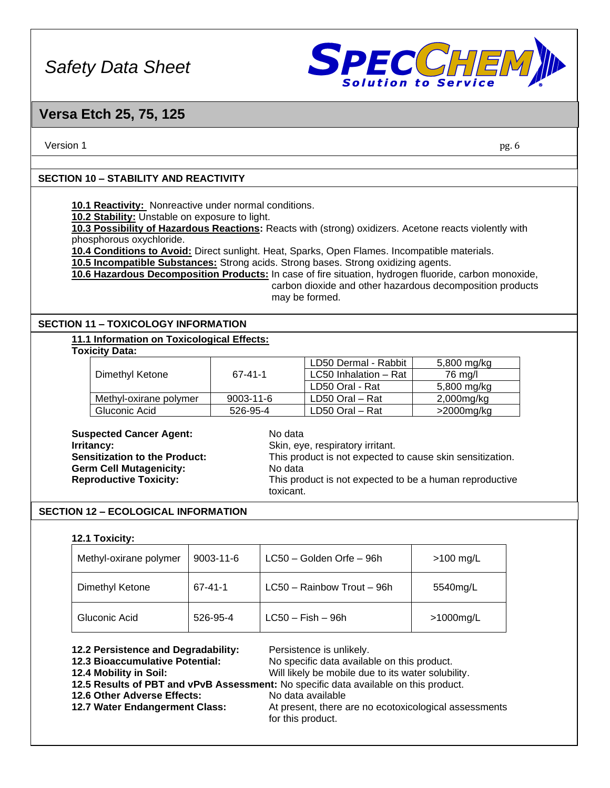

### **Versa Etch 25, 75, 125**

Version 1 pg. 6

#### **SECTION 10 – STABILITY AND REACTIVITY**

**10.1 Reactivity:** Nonreactive under normal conditions.

**10.2 Stability:** Unstable on exposure to light.

**10.3 Possibility of Hazardous Reactions:** Reacts with (strong) oxidizers. Acetone reacts violently with phosphorous oxychloride.

**10.4 Conditions to Avoid:** Direct sunlight. Heat, Sparks, Open Flames. Incompatible materials.

**10.5 Incompatible Substances:** Strong acids. Strong bases. Strong oxidizing agents.

**10.6 Hazardous Decomposition Products:** In case of fire situation, hydrogen fluoride, carbon monoxide, carbon dioxide and other hazardous decomposition products may be formed.

#### **SECTION 11 – TOXICOLOGY INFORMATION**

### **11.1 Information on Toxicological Effects:**

**Toxicity Data:**

|                        |                 | LD50 Dermal - Rabbit  | 5,800 mg/kg      |  |
|------------------------|-----------------|-----------------------|------------------|--|
| Dimethyl Ketone        | $67 - 41 - 1$   | LC50 Inhalation - Rat | 76 mg/l          |  |
|                        |                 | LD50 Oral - Rat       | 5,800 mg/kg      |  |
| Methyl-oxirane polymer | $9003 - 11 - 6$ | LD50 Oral - Rat       | $2,000$ mg/kg    |  |
| Gluconic Acid          | 526-95-4        | LD50 Oral - Rat       | $>$ 2000 $mg/kg$ |  |

**Suspected Cancer Agent:** No data Germ Cell Mutagenicity: No data

**Irritancy:** Skin, eye, respiratory irritant. **Sensitization to the Product:** This product is not expected to cause skin sensitization. **Reproductive Toxicity:** This product is not expected to be a human reproductive toxicant.

#### **SECTION 12 – ECOLOGICAL INFORMATION**

#### **12.1 Toxicity:**

| Methyl-oxirane polymer | 9003-11-6     | LC50 - Golden Orfe - 96h   | $>100$ mg/L |
|------------------------|---------------|----------------------------|-------------|
| Dimethyl Ketone        | $67 - 41 - 1$ | LC50 - Rainbow Trout - 96h | 5540mg/L    |
| Gluconic Acid          | 526-95-4      | $LC50 - Fish - 96h$        | >1000mg/L   |

**12.2 Persistence and Degradability:** Persistence is unlikely.

**12.3 Bioaccumulative Potential:** No specific data available on this product.

**12.4 Mobility in Soil:** Will likely be mobile due to its water solubility.

**12.5 Results of PBT and vPvB Assessment:** No specific data available on this product.

**12.6 Other Adverse Effects:** No data available

**12.7 Water Endangerment Class:** At present, there are no ecotoxicological assessments for this product.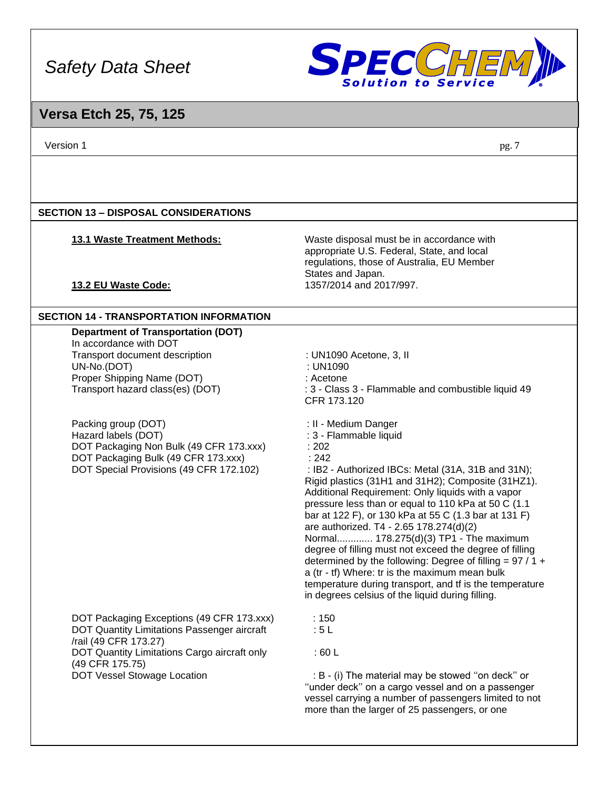

### **Versa Etch 25, 75, 125**

Version 1 pg. 7

#### **SECTION 13 – DISPOSAL CONSIDERATIONS**

**13.1 Waste Treatment Methods:** Waste disposal must be in accordance with appropriate U.S. Federal, State, and local regulations, those of Australia, EU Member States and Japan. **13.2 EU Waste Code:** 1357/2014 and 2017/997.

#### **SECTION 14 - TRANSPORTATION INFORMATION**

#### **Department of Transportation (DOT)**  In accordance with DOT

Transport document description : UN1090 Acetone, 3, II UN-No.(DOT) : UN1090 Proper Shipping Name (DOT) : Acetone

Packing group (DOT) **in the case of the COV** in the Medium Danger Hazard labels (DOT) is a set of the state of the state of the state of the state of the state of the state of the state of the state of the state of the state of the state of the state of the state of the state of the stat DOT Packaging Non Bulk (49 CFR 173.xxx) : 202 DOT Packaging Bulk (49 CFR 173.xxx) : 242 DOT Special Provisions (49 CFR 172.102) : IB2 - Authorized IBCs: Metal (31A, 31B and 31N);

DOT Packaging Exceptions (49 CFR 173.xxx) DOT Quantity Limitations Passenger aircraft /rail (49 CFR 173.27) DOT Quantity Limitations Cargo aircraft only (49 CFR 175.75)

Transport hazard class(es) (DOT) : 3 - Class 3 - Flammable and combustible liquid 49 CFR 173.120

> Rigid plastics (31H1 and 31H2); Composite (31HZ1). Additional Requirement: Only liquids with a vapor pressure less than or equal to 110 kPa at 50 C (1.1

bar at 122 F), or 130 kPa at 55 C (1.3 bar at 131 F) are authorized. T4 - 2.65 178.274(d)(2) Normal............. 178.275(d)(3) TP1 - The maximum degree of filling must not exceed the degree of filling determined by the following: Degree of filling =  $97/1 +$ a (tr - tf) Where: tr is the maximum mean bulk temperature during transport, and tf is the temperature in degrees celsius of the liquid during filling.

| : 150<br>: 5 L |  |
|----------------|--|
| : 60 L         |  |

DOT Vessel Stowage Location : B - (i) The material may be stowed "on deck" or ''under deck'' on a cargo vessel and on a passenger vessel carrying a number of passengers limited to not more than the larger of 25 passengers, or one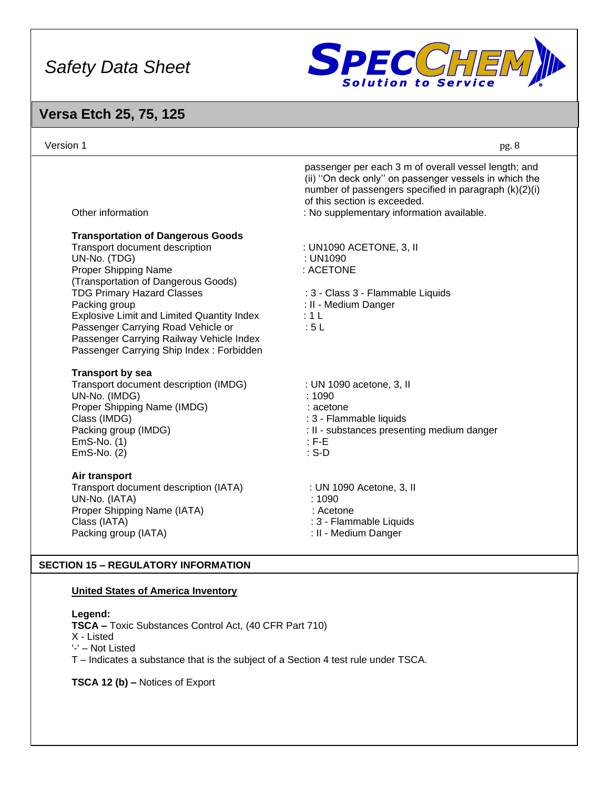

# **Versa Etch 25, 75, 125**

| Version 1                                                                                                                                                                                                                                                                                                                                                                                   | pg.8                                                                                                                                                                                                                                                |
|---------------------------------------------------------------------------------------------------------------------------------------------------------------------------------------------------------------------------------------------------------------------------------------------------------------------------------------------------------------------------------------------|-----------------------------------------------------------------------------------------------------------------------------------------------------------------------------------------------------------------------------------------------------|
| Other information                                                                                                                                                                                                                                                                                                                                                                           | passenger per each 3 m of overall vessel length; and<br>(ii) "On deck only" on passenger vessels in which the<br>number of passengers specified in paragraph (k)(2)(i)<br>of this section is exceeded.<br>: No supplementary information available. |
| <b>Transportation of Dangerous Goods</b><br>Transport document description<br>UN-No. (TDG)<br>Proper Shipping Name<br>(Transportation of Dangerous Goods)<br><b>TDG Primary Hazard Classes</b><br>Packing group<br>Explosive Limit and Limited Quantity Index<br>Passenger Carrying Road Vehicle or<br>Passenger Carrying Railway Vehicle Index<br>Passenger Carrying Ship Index: Forbidden | : UN1090 ACETONE, 3, II<br>: UN1090<br>: ACETONE<br>: 3 - Class 3 - Flammable Liquids<br>: II - Medium Danger<br>: 1 L<br>:5L                                                                                                                       |
| <b>Transport by sea</b><br>Transport document description (IMDG)<br>UN-No. (IMDG)<br>Proper Shipping Name (IMDG)<br>Class (IMDG)<br>Packing group (IMDG)<br>EmS-No. (1)<br>$EmS-No. (2)$                                                                                                                                                                                                    | : UN 1090 acetone, 3, II<br>:1090<br>: acetone<br>: 3 - Flammable liquids<br>: II - substances presenting medium danger<br>$:$ F-E $\,$<br>$: S-D$                                                                                                  |
| Air transport<br>Transport document description (IATA)<br>UN-No. (IATA)<br>Proper Shipping Name (IATA)<br>Class (IATA)<br>Packing group (IATA)                                                                                                                                                                                                                                              | : UN 1090 Acetone, 3, II<br>:1090<br>: Acetone<br>: 3 - Flammable Liquids<br>: II - Medium Danger                                                                                                                                                   |

#### **SECTION 15 – REGULATORY INFORMATION**

#### **United States of America Inventory**

**Legend: TSCA –** Toxic Substances Control Act, (40 CFR Part 710) X - Listed '-' – Not Listed T – Indicates a substance that is the subject of a Section 4 test rule under TSCA.

**TSCA 12 (b) –** Notices of Export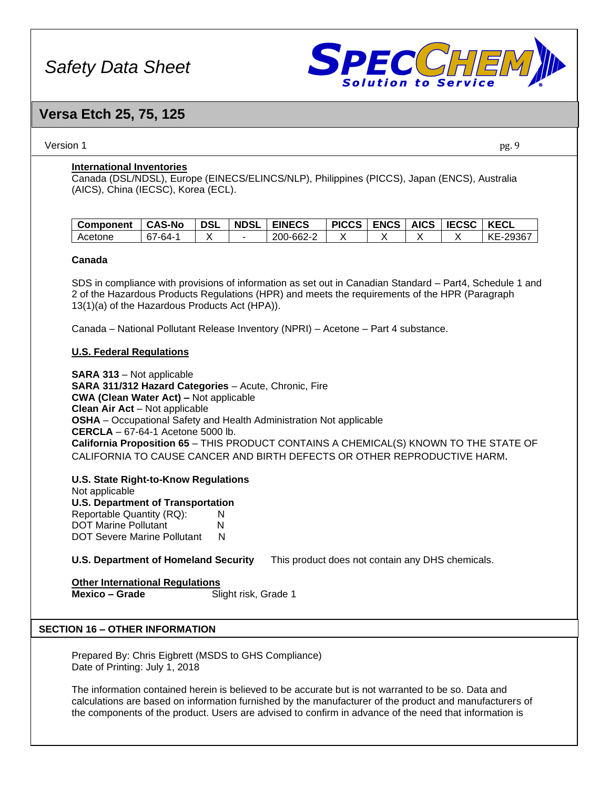

### **Versa Etch 25, 75, 125**

#### Version 1 pg. 9

#### **International Inventories**

Canada (DSL/NDSL), Europe (EINECS/ELINCS/NLP), Philippines (PICCS), Japan (ENCS), Australia (AICS), China (IECSC), Korea (ECL).

| <b>Component</b> | <b>CAS-No</b> | <b>DSL</b> | <b>NDSL</b> | <b>EINECS</b> | <b>PICCS</b> | <b>ENCS</b> | <b>AICS</b> | <b>IECSC</b> | <b>KECL</b> |
|------------------|---------------|------------|-------------|---------------|--------------|-------------|-------------|--------------|-------------|
| Acetone          | 67-64-        |            |             | 200-662-2     |              |             |             |              | -29367      |

#### **Canada**

SDS in compliance with provisions of information as set out in Canadian Standard – Part4, Schedule 1 and 2 of the Hazardous Products Regulations (HPR) and meets the requirements of the HPR (Paragraph 13(1)(a) of the Hazardous Products Act (HPA)).

Canada – National Pollutant Release Inventory (NPRI) – Acetone – Part 4 substance.

#### **U.S. Federal Regulations**

**SARA 313** – Not applicable **SARA 311/312 Hazard Categories** – Acute, Chronic, Fire **CWA (Clean Water Act) –** Not applicable **Clean Air Act** – Not applicable **OSHA** – Occupational Safety and Health Administration Not applicable **CERCLA** – 67-64-1 Acetone 5000 lb. **California Proposition 65** – THIS PRODUCT CONTAINS A CHEMICAL(S) KNOWN TO THE STATE OF CALIFORNIA TO CAUSE CANCER AND BIRTH DEFECTS OR OTHER REPRODUCTIVE HARM.

**U.S. State Right-to-Know Regulations**

Not applicable

**U.S. Department of Transportation**

Reportable Quantity (RQ): N DOT Marine Pollutant N DOT Severe Marine Pollutant N

**U.S. Department of Homeland Security** This product does not contain any DHS chemicals.

# **Other International Regulations**

**Mexico – Grade** Slight risk, Grade 1

#### **SECTION 16 – OTHER INFORMATION**

Prepared By: Chris Eigbrett (MSDS to GHS Compliance) Date of Printing: July 1, 2018

The information contained herein is believed to be accurate but is not warranted to be so. Data and calculations are based on information furnished by the manufacturer of the product and manufacturers of the components of the product. Users are advised to confirm in advance of the need that information is